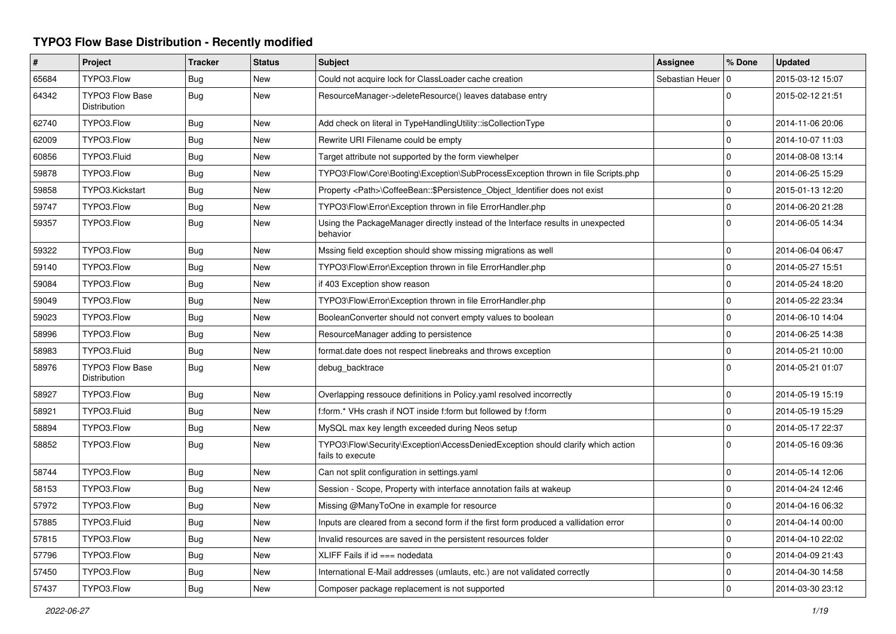## **TYPO3 Flow Base Distribution - Recently modified**

| #     | Project                                       | <b>Tracker</b> | <b>Status</b> | <b>Subject</b>                                                                                      | Assignee            | % Done         | <b>Updated</b>   |
|-------|-----------------------------------------------|----------------|---------------|-----------------------------------------------------------------------------------------------------|---------------------|----------------|------------------|
| 65684 | TYPO3.Flow                                    | Bug            | <b>New</b>    | Could not acquire lock for ClassLoader cache creation                                               | Sebastian Heuer   0 |                | 2015-03-12 15:07 |
| 64342 | <b>TYPO3 Flow Base</b><br><b>Distribution</b> | <b>Bug</b>     | New           | ResourceManager->deleteResource() leaves database entry                                             |                     | $\Omega$       | 2015-02-12 21:51 |
| 62740 | TYPO3.Flow                                    | Bug            | New           | Add check on literal in TypeHandlingUtility::isCollectionType                                       |                     | $\Omega$       | 2014-11-06 20:06 |
| 62009 | TYPO3.Flow                                    | Bug            | <b>New</b>    | Rewrite URI Filename could be empty                                                                 |                     | $\Omega$       | 2014-10-07 11:03 |
| 60856 | TYPO3.Fluid                                   | Bug            | <b>New</b>    | Target attribute not supported by the form viewhelper                                               |                     | $\Omega$       | 2014-08-08 13:14 |
| 59878 | TYPO3.Flow                                    | <b>Bug</b>     | <b>New</b>    | TYPO3\Flow\Core\Booting\Exception\SubProcessException thrown in file Scripts.php                    |                     | $\Omega$       | 2014-06-25 15:29 |
| 59858 | TYPO3.Kickstart                               | Bug            | <b>New</b>    | Property <path>\CoffeeBean:: \$Persistence Object Identifier does not exist</path>                  |                     | $\Omega$       | 2015-01-13 12:20 |
| 59747 | TYPO3.Flow                                    | Bug            | <b>New</b>    | TYPO3\Flow\Error\Exception thrown in file ErrorHandler.php                                          |                     | $\Omega$       | 2014-06-20 21:28 |
| 59357 | TYPO3.Flow                                    | Bug            | <b>New</b>    | Using the PackageManager directly instead of the Interface results in unexpected<br>behavior        |                     | $\Omega$       | 2014-06-05 14:34 |
| 59322 | TYPO3.Flow                                    | <b>Bug</b>     | New           | Mssing field exception should show missing migrations as well                                       |                     | 0              | 2014-06-04 06:47 |
| 59140 | TYPO3.Flow                                    | Bug            | New           | TYPO3\Flow\Error\Exception thrown in file ErrorHandler.php                                          |                     | $\mathbf 0$    | 2014-05-27 15:51 |
| 59084 | TYPO3.Flow                                    | Bug            | New           | if 403 Exception show reason                                                                        |                     | $\Omega$       | 2014-05-24 18:20 |
| 59049 | TYPO3.Flow                                    | <b>Bug</b>     | New           | TYPO3\Flow\Error\Exception thrown in file ErrorHandler.php                                          |                     | $\Omega$       | 2014-05-22 23:34 |
| 59023 | TYPO3.Flow                                    | Bug            | New           | BooleanConverter should not convert empty values to boolean                                         |                     | $\mathbf 0$    | 2014-06-10 14:04 |
| 58996 | TYPO3.Flow                                    | <b>Bug</b>     | New           | ResourceManager adding to persistence                                                               |                     | $\overline{0}$ | 2014-06-25 14:38 |
| 58983 | TYPO3.Fluid                                   | <b>Bug</b>     | <b>New</b>    | format.date does not respect linebreaks and throws exception                                        |                     | $\pmb{0}$      | 2014-05-21 10:00 |
| 58976 | <b>TYPO3 Flow Base</b><br>Distribution        | Bug            | New           | debug_backtrace                                                                                     |                     | $\Omega$       | 2014-05-21 01:07 |
| 58927 | TYPO3.Flow                                    | Bug            | New           | Overlapping ressouce definitions in Policy yaml resolved incorrectly                                |                     | $\pmb{0}$      | 2014-05-19 15:19 |
| 58921 | TYPO3.Fluid                                   | Bug            | New           | f:form.* VHs crash if NOT inside f:form but followed by f:form                                      |                     | $\pmb{0}$      | 2014-05-19 15:29 |
| 58894 | TYPO3.Flow                                    | <b>Bug</b>     | <b>New</b>    | MySQL max key length exceeded during Neos setup                                                     |                     | 0              | 2014-05-17 22:37 |
| 58852 | TYPO3.Flow                                    | Bug            | New           | TYPO3\Flow\Security\Exception\AccessDeniedException should clarify which action<br>fails to execute |                     | $\Omega$       | 2014-05-16 09:36 |
| 58744 | TYPO3.Flow                                    | Bug            | <b>New</b>    | Can not split configuration in settings yaml                                                        |                     | $\mathbf 0$    | 2014-05-14 12:06 |
| 58153 | TYPO3.Flow                                    | <b>Bug</b>     | <b>New</b>    | Session - Scope, Property with interface annotation fails at wakeup                                 |                     | $\mathbf 0$    | 2014-04-24 12:46 |
| 57972 | TYPO3.Flow                                    | Bug            | New           | Missing @ManyToOne in example for resource                                                          |                     | $\mathbf 0$    | 2014-04-16 06:32 |
| 57885 | TYPO3.Fluid                                   | Bug            | New           | Inputs are cleared from a second form if the first form produced a vallidation error                |                     | 0              | 2014-04-14 00:00 |
| 57815 | TYPO3.Flow                                    | Bug            | New           | Invalid resources are saved in the persistent resources folder                                      |                     | $\mathbf 0$    | 2014-04-10 22:02 |
| 57796 | TYPO3.Flow                                    | Bug            | New           | $XLIFF$ Fails if $id ==$ nodedata                                                                   |                     | $\mathbf 0$    | 2014-04-09 21:43 |
| 57450 | TYPO3.Flow                                    | Bug            | New           | International E-Mail addresses (umlauts, etc.) are not validated correctly                          |                     | $\mathbf 0$    | 2014-04-30 14:58 |
| 57437 | TYPO3.Flow                                    | Bug            | New           | Composer package replacement is not supported                                                       |                     | $\Omega$       | 2014-03-30 23:12 |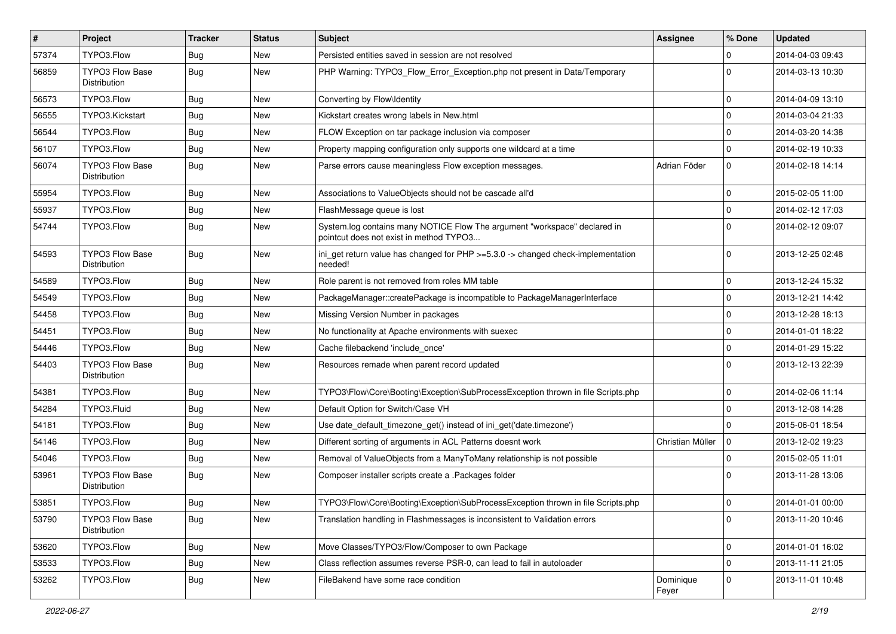| $\sharp$ | Project                                       | <b>Tracker</b> | <b>Status</b> | Subject                                                                                                              | <b>Assignee</b>    | % Done         | <b>Updated</b>   |
|----------|-----------------------------------------------|----------------|---------------|----------------------------------------------------------------------------------------------------------------------|--------------------|----------------|------------------|
| 57374    | TYPO3.Flow                                    | <b>Bug</b>     | New           | Persisted entities saved in session are not resolved                                                                 |                    | $\mathbf 0$    | 2014-04-03 09:43 |
| 56859    | <b>TYPO3 Flow Base</b><br><b>Distribution</b> | <b>Bug</b>     | New           | PHP Warning: TYPO3_Flow_Error_Exception.php not present in Data/Temporary                                            |                    | $\Omega$       | 2014-03-13 10:30 |
| 56573    | TYPO3.Flow                                    | <b>Bug</b>     | <b>New</b>    | Converting by Flow\Identity                                                                                          |                    | $\mathbf 0$    | 2014-04-09 13:10 |
| 56555    | TYPO3.Kickstart                               | <b>Bug</b>     | New           | Kickstart creates wrong labels in New.html                                                                           |                    | $\mathbf 0$    | 2014-03-04 21:33 |
| 56544    | TYPO3.Flow                                    | Bug            | New           | FLOW Exception on tar package inclusion via composer                                                                 |                    | $\mathbf 0$    | 2014-03-20 14:38 |
| 56107    | TYPO3.Flow                                    | Bug            | New           | Property mapping configuration only supports one wildcard at a time                                                  |                    | $\mathbf 0$    | 2014-02-19 10:33 |
| 56074    | <b>TYPO3 Flow Base</b><br>Distribution        | Bug            | New           | Parse errors cause meaningless Flow exception messages.                                                              | Adrian Föder       | $\mathbf{0}$   | 2014-02-18 14:14 |
| 55954    | TYPO3.Flow                                    | <b>Bug</b>     | <b>New</b>    | Associations to ValueObjects should not be cascade all'd                                                             |                    | $\mathbf 0$    | 2015-02-05 11:00 |
| 55937    | TYPO3.Flow                                    | Bug            | New           | FlashMessage queue is lost                                                                                           |                    | $\mathbf 0$    | 2014-02-12 17:03 |
| 54744    | TYPO3.Flow                                    | Bug            | New           | System.log contains many NOTICE Flow The argument "workspace" declared in<br>pointcut does not exist in method TYPO3 |                    | $\Omega$       | 2014-02-12 09:07 |
| 54593    | TYPO3 Flow Base<br>Distribution               | Bug            | New           | ini_get return value has changed for PHP >=5.3.0 -> changed check-implementation<br>needed!                          |                    | $\Omega$       | 2013-12-25 02:48 |
| 54589    | TYPO3.Flow                                    | Bug            | New           | Role parent is not removed from roles MM table                                                                       |                    | $\overline{0}$ | 2013-12-24 15:32 |
| 54549    | TYPO3.Flow                                    | Bug            | New           | PackageManager::createPackage is incompatible to PackageManagerInterface                                             |                    | $\mathbf 0$    | 2013-12-21 14:42 |
| 54458    | TYPO3.Flow                                    | <b>Bug</b>     | New           | Missing Version Number in packages                                                                                   |                    | $\mathbf 0$    | 2013-12-28 18:13 |
| 54451    | TYPO3.Flow                                    | Bug            | New           | No functionality at Apache environments with suexec                                                                  |                    | $\mathbf 0$    | 2014-01-01 18:22 |
| 54446    | TYPO3.Flow                                    | Bug            | New           | Cache filebackend 'include once'                                                                                     |                    | $\mathbf{0}$   | 2014-01-29 15:22 |
| 54403    | TYPO3 Flow Base<br>Distribution               | Bug            | New           | Resources remade when parent record updated                                                                          |                    | $\Omega$       | 2013-12-13 22:39 |
| 54381    | TYPO3.Flow                                    | Bug            | <b>New</b>    | TYPO3\Flow\Core\Booting\Exception\SubProcessException thrown in file Scripts.php                                     |                    | $\mathbf 0$    | 2014-02-06 11:14 |
| 54284    | TYPO3.Fluid                                   | Bug            | New           | Default Option for Switch/Case VH                                                                                    |                    | $\mathbf{0}$   | 2013-12-08 14:28 |
| 54181    | TYPO3.Flow                                    | Bug            | New           | Use date_default_timezone_get() instead of ini_get('date.timezone')                                                  |                    | $\Omega$       | 2015-06-01 18:54 |
| 54146    | TYPO3.Flow                                    | Bug            | New           | Different sorting of arguments in ACL Patterns doesnt work                                                           | Christian Müller   | l o            | 2013-12-02 19:23 |
| 54046    | TYPO3.Flow                                    | Bug            | New           | Removal of ValueObjects from a ManyToMany relationship is not possible                                               |                    | $\mathbf 0$    | 2015-02-05 11:01 |
| 53961    | <b>TYPO3 Flow Base</b><br>Distribution        | <b>Bug</b>     | New           | Composer installer scripts create a .Packages folder                                                                 |                    | $\Omega$       | 2013-11-28 13:06 |
| 53851    | TYPO3.Flow                                    | Bug            | New           | TYPO3\Flow\Core\Booting\Exception\SubProcessException thrown in file Scripts.php                                     |                    | $\Omega$       | 2014-01-01 00:00 |
| 53790    | <b>TYPO3 Flow Base</b><br>Distribution        | Bug            | New           | Translation handling in Flashmessages is inconsistent to Validation errors                                           |                    | $\mathbf 0$    | 2013-11-20 10:46 |
| 53620    | TYPO3.Flow                                    | Bug            | New           | Move Classes/TYPO3/Flow/Composer to own Package                                                                      |                    | $\mathbf 0$    | 2014-01-01 16:02 |
| 53533    | TYPO3.Flow                                    | Bug            | New           | Class reflection assumes reverse PSR-0, can lead to fail in autoloader                                               |                    | $\mathbf 0$    | 2013-11-11 21:05 |
| 53262    | TYPO3.Flow                                    | Bug            | New           | FileBakend have some race condition                                                                                  | Dominique<br>Feyer | $\mathbf 0$    | 2013-11-01 10:48 |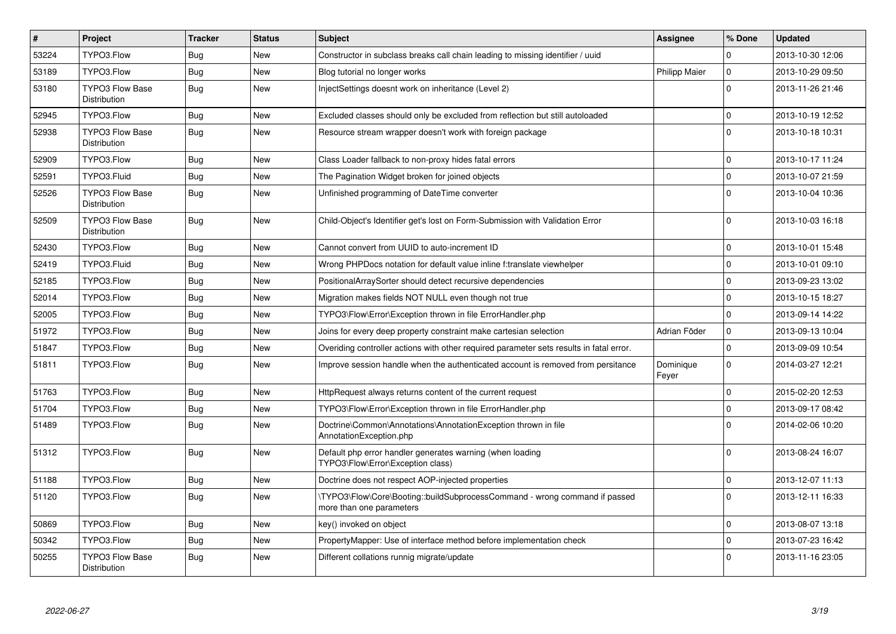| $\pmb{\#}$ | Project                                       | <b>Tracker</b> | <b>Status</b> | <b>Subject</b>                                                                                        | Assignee             | % Done       | <b>Updated</b>   |
|------------|-----------------------------------------------|----------------|---------------|-------------------------------------------------------------------------------------------------------|----------------------|--------------|------------------|
| 53224      | TYPO3.Flow                                    | Bug            | <b>New</b>    | Constructor in subclass breaks call chain leading to missing identifier / uuid                        |                      | <sup>0</sup> | 2013-10-30 12:06 |
| 53189      | TYPO3.Flow                                    | Bug            | <b>New</b>    | Blog tutorial no longer works                                                                         | <b>Philipp Maier</b> | $\mathbf 0$  | 2013-10-29 09:50 |
| 53180      | <b>TYPO3 Flow Base</b><br>Distribution        | Bug            | <b>New</b>    | InjectSettings doesnt work on inheritance (Level 2)                                                   |                      | $\Omega$     | 2013-11-26 21:46 |
| 52945      | TYPO3.Flow                                    | Bug            | <b>New</b>    | Excluded classes should only be excluded from reflection but still autoloaded                         |                      | $\Omega$     | 2013-10-19 12:52 |
| 52938      | <b>TYPO3 Flow Base</b><br>Distribution        | Bug            | <b>New</b>    | Resource stream wrapper doesn't work with foreign package                                             |                      | $\Omega$     | 2013-10-18 10:31 |
| 52909      | TYPO3.Flow                                    | Bug            | <b>New</b>    | Class Loader fallback to non-proxy hides fatal errors                                                 |                      | $\Omega$     | 2013-10-17 11:24 |
| 52591      | TYPO3.Fluid                                   | Bug            | New           | The Pagination Widget broken for joined objects                                                       |                      | $\Omega$     | 2013-10-07 21:59 |
| 52526      | <b>TYPO3 Flow Base</b><br><b>Distribution</b> | Bug            | <b>New</b>    | Unfinished programming of DateTime converter                                                          |                      | $\Omega$     | 2013-10-04 10:36 |
| 52509      | <b>TYPO3 Flow Base</b><br><b>Distribution</b> | Bug            | <b>New</b>    | Child-Object's Identifier get's lost on Form-Submission with Validation Error                         |                      | $\Omega$     | 2013-10-03 16:18 |
| 52430      | TYPO3.Flow                                    | Bug            | New           | Cannot convert from UUID to auto-increment ID                                                         |                      | $\Omega$     | 2013-10-01 15:48 |
| 52419      | TYPO3.Fluid                                   | Bug            | New           | Wrong PHPDocs notation for default value inline f:translate viewhelper                                |                      | $\Omega$     | 2013-10-01 09:10 |
| 52185      | TYPO3.Flow                                    | <b>Bug</b>     | <b>New</b>    | PositionalArraySorter should detect recursive dependencies                                            |                      | $\Omega$     | 2013-09-23 13:02 |
| 52014      | TYPO3.Flow                                    | <b>Bug</b>     | New           | Migration makes fields NOT NULL even though not true                                                  |                      | $\Omega$     | 2013-10-15 18:27 |
| 52005      | TYPO3.Flow                                    | <b>Bug</b>     | <b>New</b>    | TYPO3\Flow\Error\Exception thrown in file ErrorHandler.php                                            |                      | $\Omega$     | 2013-09-14 14:22 |
| 51972      | TYPO3.Flow                                    | Bug            | New           | Joins for every deep property constraint make cartesian selection                                     | Adrian Föder         | $\mathbf 0$  | 2013-09-13 10:04 |
| 51847      | TYPO3.Flow                                    | Bug            | <b>New</b>    | Overiding controller actions with other required parameter sets results in fatal error.               |                      | $\Omega$     | 2013-09-09 10:54 |
| 51811      | TYPO3.Flow                                    | <b>Bug</b>     | New           | Improve session handle when the authenticated account is removed from persitance                      | Dominique<br>Feyer   | $\Omega$     | 2014-03-27 12:21 |
| 51763      | TYPO3.Flow                                    | Bug            | <b>New</b>    | HttpRequest always returns content of the current request                                             |                      | $\Omega$     | 2015-02-20 12:53 |
| 51704      | TYPO3.Flow                                    | Bug            | New           | TYPO3\Flow\Error\Exception thrown in file ErrorHandler.php                                            |                      | $\mathbf 0$  | 2013-09-17 08:42 |
| 51489      | TYPO3.Flow                                    | Bug            | New           | Doctrine\Common\Annotations\AnnotationException thrown in file<br>AnnotationException.php             |                      | $\Omega$     | 2014-02-06 10:20 |
| 51312      | TYPO3.Flow                                    | Bug            | <b>New</b>    | Default php error handler generates warning (when loading<br>TYPO3\Flow\Error\Exception class)        |                      | $\Omega$     | 2013-08-24 16:07 |
| 51188      | TYPO3.Flow                                    | Bug            | New           | Doctrine does not respect AOP-injected properties                                                     |                      | $\Omega$     | 2013-12-07 11:13 |
| 51120      | TYPO3.Flow                                    | Bug            | New           | TYPO3\Flow\Core\Booting::buildSubprocessCommand - wrong command if passed<br>more than one parameters |                      | $\Omega$     | 2013-12-11 16:33 |
| 50869      | TYPO3.Flow                                    | Bug            | <b>New</b>    | key() invoked on object                                                                               |                      | $\Omega$     | 2013-08-07 13:18 |
| 50342      | TYPO3.Flow                                    | <b>Bug</b>     | New           | PropertyMapper: Use of interface method before implementation check                                   |                      | $\Omega$     | 2013-07-23 16:42 |
| 50255      | <b>TYPO3 Flow Base</b><br>Distribution        | Bug            | New           | Different collations runnig migrate/update                                                            |                      | $\Omega$     | 2013-11-16 23:05 |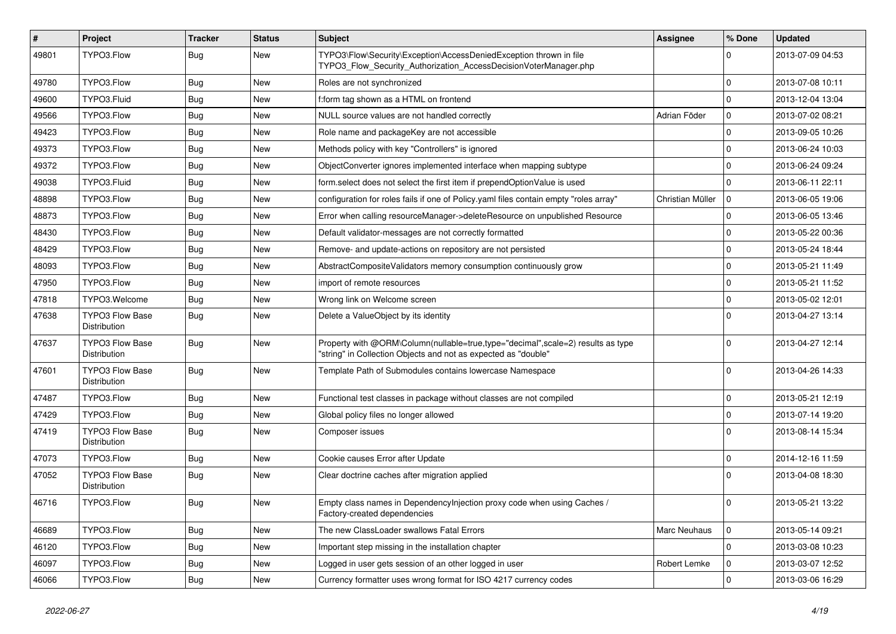| $\vert$ # | Project                                       | <b>Tracker</b> | <b>Status</b> | Subject                                                                                                                                           | <b>Assignee</b>  | % Done         | <b>Updated</b>   |
|-----------|-----------------------------------------------|----------------|---------------|---------------------------------------------------------------------------------------------------------------------------------------------------|------------------|----------------|------------------|
| 49801     | TYPO3.Flow                                    | <b>Bug</b>     | New           | TYPO3\Flow\Security\Exception\AccessDeniedException thrown in file<br>TYPO3 Flow Security Authorization AccessDecisionVoterManager.php            |                  | $\Omega$       | 2013-07-09 04:53 |
| 49780     | TYPO3.Flow                                    | Bug            | New           | Roles are not synchronized                                                                                                                        |                  | $\mathbf 0$    | 2013-07-08 10:11 |
| 49600     | TYPO3.Fluid                                   | Bug            | New           | f:form tag shown as a HTML on frontend                                                                                                            |                  | $\Omega$       | 2013-12-04 13:04 |
| 49566     | TYPO3.Flow                                    | Bug            | <b>New</b>    | NULL source values are not handled correctly                                                                                                      | Adrian Föder     | $\mathbf 0$    | 2013-07-02 08:21 |
| 49423     | TYPO3.Flow                                    | <b>Bug</b>     | New           | Role name and packageKey are not accessible                                                                                                       |                  | $\mathbf 0$    | 2013-09-05 10:26 |
| 49373     | TYPO3.Flow                                    | Bug            | New           | Methods policy with key "Controllers" is ignored                                                                                                  |                  | $\Omega$       | 2013-06-24 10:03 |
| 49372     | TYPO3.Flow                                    | Bug            | New           | ObjectConverter ignores implemented interface when mapping subtype                                                                                |                  | $\mathbf 0$    | 2013-06-24 09:24 |
| 49038     | TYPO3.Fluid                                   | <b>Bug</b>     | New           | form.select does not select the first item if prependOptionValue is used                                                                          |                  | $\Omega$       | 2013-06-11 22:11 |
| 48898     | TYPO3.Flow                                    | Bug            | New           | configuration for roles fails if one of Policy yaml files contain empty "roles array"                                                             | Christian Müller | $\mathbf 0$    | 2013-06-05 19:06 |
| 48873     | TYPO3.Flow                                    | <b>Bug</b>     | <b>New</b>    | Error when calling resourceManager->deleteResource on unpublished Resource                                                                        |                  | $\Omega$       | 2013-06-05 13:46 |
| 48430     | TYPO3.Flow                                    | <b>Bug</b>     | New           | Default validator-messages are not correctly formatted                                                                                            |                  | $\mathbf 0$    | 2013-05-22 00:36 |
| 48429     | TYPO3.Flow                                    | Bug            | New           | Remove- and update-actions on repository are not persisted                                                                                        |                  | $\mathbf 0$    | 2013-05-24 18:44 |
| 48093     | TYPO3.Flow                                    | <b>Bug</b>     | <b>New</b>    | AbstractCompositeValidators memory consumption continuously grow                                                                                  |                  | $\mathbf 0$    | 2013-05-21 11:49 |
| 47950     | TYPO3.Flow                                    | Bug            | New           | import of remote resources                                                                                                                        |                  | $\mathbf 0$    | 2013-05-21 11:52 |
| 47818     | TYPO3.Welcome                                 | Bug            | New           | Wrong link on Welcome screen                                                                                                                      |                  | $\mathbf 0$    | 2013-05-02 12:01 |
| 47638     | <b>TYPO3 Flow Base</b><br><b>Distribution</b> | <b>Bug</b>     | New           | Delete a ValueObject by its identity                                                                                                              |                  | $\Omega$       | 2013-04-27 13:14 |
| 47637     | TYPO3 Flow Base<br>Distribution               | <b>Bug</b>     | New           | Property with @ORM\Column(nullable=true,type="decimal",scale=2) results as type<br>"string" in Collection Objects and not as expected as "double" |                  | $\Omega$       | 2013-04-27 12:14 |
| 47601     | <b>TYPO3 Flow Base</b><br>Distribution        | <b>Bug</b>     | New           | Template Path of Submodules contains lowercase Namespace                                                                                          |                  | $\Omega$       | 2013-04-26 14:33 |
| 47487     | TYPO3.Flow                                    | Bug            | <b>New</b>    | Functional test classes in package without classes are not compiled                                                                               |                  | $\mathbf 0$    | 2013-05-21 12:19 |
| 47429     | TYPO3.Flow                                    | Bug            | New           | Global policy files no longer allowed                                                                                                             |                  | $\mathbf 0$    | 2013-07-14 19:20 |
| 47419     | <b>TYPO3 Flow Base</b><br>Distribution        | <b>Bug</b>     | New           | Composer issues                                                                                                                                   |                  | $\Omega$       | 2013-08-14 15:34 |
| 47073     | TYPO3.Flow                                    | Bug            | <b>New</b>    | Cookie causes Error after Update                                                                                                                  |                  | $\mathbf 0$    | 2014-12-16 11:59 |
| 47052     | <b>TYPO3 Flow Base</b><br>Distribution        | <b>Bug</b>     | New           | Clear doctrine caches after migration applied                                                                                                     |                  | $\Omega$       | 2013-04-08 18:30 |
| 46716     | TYPO3.Flow                                    | Bug            | New           | Empty class names in Dependencylnjection proxy code when using Caches /<br>Factory-created dependencies                                           |                  | $\mathbf{0}$   | 2013-05-21 13:22 |
| 46689     | TYPO3.Flow                                    | <b>Bug</b>     | New           | The new ClassLoader swallows Fatal Errors                                                                                                         | Marc Neuhaus     | $\overline{0}$ | 2013-05-14 09:21 |
| 46120     | TYPO3.Flow                                    | <b>Bug</b>     | New           | Important step missing in the installation chapter                                                                                                |                  | $\mathbf 0$    | 2013-03-08 10:23 |
| 46097     | TYPO3.Flow                                    | <b>Bug</b>     | New           | Logged in user gets session of an other logged in user                                                                                            | Robert Lemke     | $\overline{0}$ | 2013-03-07 12:52 |
| 46066     | TYPO3.Flow                                    | <b>Bug</b>     | New           | Currency formatter uses wrong format for ISO 4217 currency codes                                                                                  |                  | $\overline{0}$ | 2013-03-06 16:29 |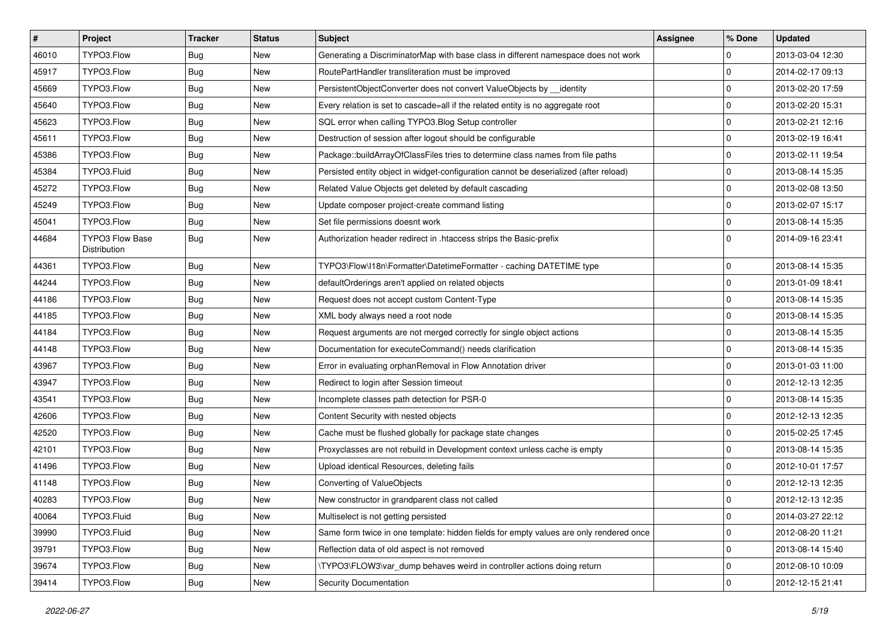| $\vert$ # | Project                                | <b>Tracker</b> | <b>Status</b> | Subject                                                                                | <b>Assignee</b> | % Done      | <b>Updated</b>   |
|-----------|----------------------------------------|----------------|---------------|----------------------------------------------------------------------------------------|-----------------|-------------|------------------|
| 46010     | TYPO3.Flow                             | Bug            | New           | Generating a DiscriminatorMap with base class in different namespace does not work     |                 | 0           | 2013-03-04 12:30 |
| 45917     | TYPO3.Flow                             | <b>Bug</b>     | New           | RoutePartHandler transliteration must be improved                                      |                 | $\mathbf 0$ | 2014-02-17 09:13 |
| 45669     | TYPO3.Flow                             | <b>Bug</b>     | New           | PersistentObjectConverter does not convert ValueObjects by identity                    |                 | $\mathbf 0$ | 2013-02-20 17:59 |
| 45640     | TYPO3.Flow                             | Bug            | New           | Every relation is set to cascade=all if the related entity is no aggregate root        |                 | $\mathbf 0$ | 2013-02-20 15:31 |
| 45623     | TYPO3.Flow                             | <b>Bug</b>     | New           | SQL error when calling TYPO3.Blog Setup controller                                     |                 | 0           | 2013-02-21 12:16 |
| 45611     | TYPO3.Flow                             | <b>Bug</b>     | New           | Destruction of session after logout should be configurable                             |                 | $\pmb{0}$   | 2013-02-19 16:41 |
| 45386     | TYPO3.Flow                             | Bug            | New           | Package::buildArrayOfClassFiles tries to determine class names from file paths         |                 | $\mathbf 0$ | 2013-02-11 19:54 |
| 45384     | TYPO3.Fluid                            | <b>Bug</b>     | New           | Persisted entity object in widget-configuration cannot be deserialized (after reload)  |                 | 0           | 2013-08-14 15:35 |
| 45272     | TYPO3.Flow                             | <b>Bug</b>     | New           | Related Value Objects get deleted by default cascading                                 |                 | $\mathbf 0$ | 2013-02-08 13:50 |
| 45249     | TYPO3.Flow                             | <b>Bug</b>     | New           | Update composer project-create command listing                                         |                 | 0           | 2013-02-07 15:17 |
| 45041     | TYPO3.Flow                             | <b>Bug</b>     | New           | Set file permissions doesnt work                                                       |                 | $\pmb{0}$   | 2013-08-14 15:35 |
| 44684     | <b>TYPO3 Flow Base</b><br>Distribution | <b>Bug</b>     | New           | Authorization header redirect in .htaccess strips the Basic-prefix                     |                 | $\mathbf 0$ | 2014-09-16 23:41 |
| 44361     | TYPO3.Flow                             | <b>Bug</b>     | New           | TYPO3\Flow\I18n\Formatter\DatetimeFormatter - caching DATETIME type                    |                 | 0           | 2013-08-14 15:35 |
| 44244     | TYPO3.Flow                             | <b>Bug</b>     | New           | defaultOrderings aren't applied on related objects                                     |                 | $\mathbf 0$ | 2013-01-09 18:41 |
| 44186     | TYPO3.Flow                             | Bug            | New           | Request does not accept custom Content-Type                                            |                 | 0           | 2013-08-14 15:35 |
| 44185     | TYPO3.Flow                             | <b>Bug</b>     | New           | XML body always need a root node                                                       |                 | 0           | 2013-08-14 15:35 |
| 44184     | TYPO3.Flow                             | <b>Bug</b>     | New           | Request arguments are not merged correctly for single object actions                   |                 | 0           | 2013-08-14 15:35 |
| 44148     | TYPO3.Flow                             | <b>Bug</b>     | New           | Documentation for executeCommand() needs clarification                                 |                 | $\pmb{0}$   | 2013-08-14 15:35 |
| 43967     | TYPO3.Flow                             | <b>Bug</b>     | New           | Error in evaluating orphanRemoval in Flow Annotation driver                            |                 | $\mathbf 0$ | 2013-01-03 11:00 |
| 43947     | TYPO3.Flow                             | <b>Bug</b>     | <b>New</b>    | Redirect to login after Session timeout                                                |                 | $\mathbf 0$ | 2012-12-13 12:35 |
| 43541     | TYPO3.Flow                             | Bug            | New           | Incomplete classes path detection for PSR-0                                            |                 | $\mathbf 0$ | 2013-08-14 15:35 |
| 42606     | TYPO3.Flow                             | <b>Bug</b>     | New           | Content Security with nested objects                                                   |                 | 0           | 2012-12-13 12:35 |
| 42520     | TYPO3.Flow                             | <b>Bug</b>     | New           | Cache must be flushed globally for package state changes                               |                 | $\mathbf 0$ | 2015-02-25 17:45 |
| 42101     | TYPO3.Flow                             | Bug            | New           | Proxyclasses are not rebuild in Development context unless cache is empty              |                 | 0           | 2013-08-14 15:35 |
| 41496     | TYPO3.Flow                             | <b>Bug</b>     | New           | Upload identical Resources, deleting fails                                             |                 | 0           | 2012-10-01 17:57 |
| 41148     | TYPO3.Flow                             | Bug            | New           | Converting of ValueObjects                                                             |                 | 0           | 2012-12-13 12:35 |
| 40283     | TYPO3.Flow                             | Bug            | New           | New constructor in grandparent class not called                                        |                 | $\mathbf 0$ | 2012-12-13 12:35 |
| 40064     | TYPO3.Fluid                            | <b>Bug</b>     | New           | Multiselect is not getting persisted                                                   |                 | $\pmb{0}$   | 2014-03-27 22:12 |
| 39990     | TYPO3.Fluid                            | <b>Bug</b>     | New           | Same form twice in one template: hidden fields for empty values are only rendered once |                 | 0           | 2012-08-20 11:21 |
| 39791     | TYPO3.Flow                             | <b>Bug</b>     | New           | Reflection data of old aspect is not removed                                           |                 | 0           | 2013-08-14 15:40 |
| 39674     | TYPO3.Flow                             | <b>Bug</b>     | New           | TYPO3\FLOW3\var_dump behaves weird in controller actions doing return                  |                 | $\mathsf 0$ | 2012-08-10 10:09 |
| 39414     | TYPO3.Flow                             | Bug            | New           | Security Documentation                                                                 |                 | $\mathbf 0$ | 2012-12-15 21:41 |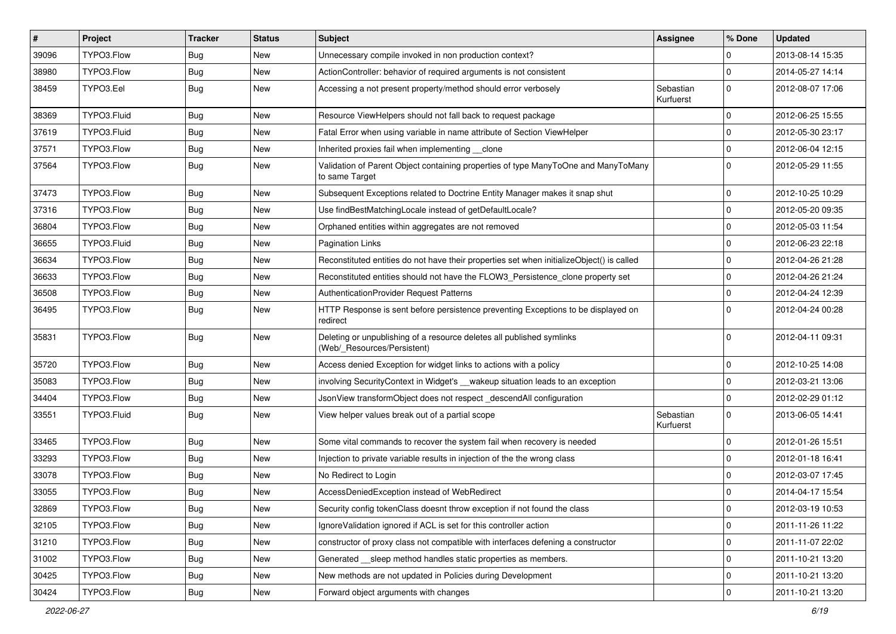| #     | Project     | <b>Tracker</b> | <b>Status</b> | Subject                                                                                              | <b>Assignee</b>        | % Done      | <b>Updated</b>   |
|-------|-------------|----------------|---------------|------------------------------------------------------------------------------------------------------|------------------------|-------------|------------------|
| 39096 | TYPO3.Flow  | Bug            | New           | Unnecessary compile invoked in non production context?                                               |                        | $\Omega$    | 2013-08-14 15:35 |
| 38980 | TYPO3.Flow  | Bug            | <b>New</b>    | ActionController: behavior of required arguments is not consistent                                   |                        | $\Omega$    | 2014-05-27 14:14 |
| 38459 | TYPO3.Eel   | Bug            | New           | Accessing a not present property/method should error verbosely                                       | Sebastian<br>Kurfuerst | $\Omega$    | 2012-08-07 17:06 |
| 38369 | TYPO3.Fluid | Bug            | <b>New</b>    | Resource ViewHelpers should not fall back to request package                                         |                        | $\Omega$    | 2012-06-25 15:55 |
| 37619 | TYPO3.Fluid | <b>Bug</b>     | New           | Fatal Error when using variable in name attribute of Section ViewHelper                              |                        | $\Omega$    | 2012-05-30 23:17 |
| 37571 | TYPO3.Flow  | Bug            | <b>New</b>    | Inherited proxies fail when implementing clone                                                       |                        | $\Omega$    | 2012-06-04 12:15 |
| 37564 | TYPO3.Flow  | <b>Bug</b>     | New           | Validation of Parent Object containing properties of type ManyToOne and ManyToMany<br>to same Target |                        | $\Omega$    | 2012-05-29 11:55 |
| 37473 | TYPO3.Flow  | Bug            | <b>New</b>    | Subsequent Exceptions related to Doctrine Entity Manager makes it snap shut                          |                        | $\Omega$    | 2012-10-25 10:29 |
| 37316 | TYPO3.Flow  | Bug            | New           | Use findBestMatchingLocale instead of getDefaultLocale?                                              |                        | $\mathbf 0$ | 2012-05-20 09:35 |
| 36804 | TYPO3.Flow  | Bug            | <b>New</b>    | Orphaned entities within aggregates are not removed                                                  |                        | $\Omega$    | 2012-05-03 11:54 |
| 36655 | TYPO3.Fluid | Bug            | <b>New</b>    | Pagination Links                                                                                     |                        | $\Omega$    | 2012-06-23 22:18 |
| 36634 | TYPO3.Flow  | Bug            | New           | Reconstituted entities do not have their properties set when initializeObject() is called            |                        | $\Omega$    | 2012-04-26 21:28 |
| 36633 | TYPO3.Flow  | Bug            | <b>New</b>    | Reconstituted entities should not have the FLOW3_Persistence_clone property set                      |                        | $\Omega$    | 2012-04-26 21:24 |
| 36508 | TYPO3.Flow  | Bug            | New           | AuthenticationProvider Request Patterns                                                              |                        | $\Omega$    | 2012-04-24 12:39 |
| 36495 | TYPO3.Flow  | Bug            | <b>New</b>    | HTTP Response is sent before persistence preventing Exceptions to be displayed on<br>redirect        |                        | $\Omega$    | 2012-04-24 00:28 |
| 35831 | TYPO3.Flow  | Bug            | <b>New</b>    | Deleting or unpublishing of a resource deletes all published symlinks<br>(Web/_Resources/Persistent) |                        | $\Omega$    | 2012-04-11 09:31 |
| 35720 | TYPO3.Flow  | Bug            | <b>New</b>    | Access denied Exception for widget links to actions with a policy                                    |                        | $\Omega$    | 2012-10-25 14:08 |
| 35083 | TYPO3.Flow  | Bug            | New           | involving Security Context in Widget's __wakeup situation leads to an exception                      |                        | $\Omega$    | 2012-03-21 13:06 |
| 34404 | TYPO3.Flow  | Bug            | <b>New</b>    | JsonView transformObject does not respect _descendAll configuration                                  |                        | $\Omega$    | 2012-02-29 01:12 |
| 33551 | TYPO3.Fluid | <b>Bug</b>     | New           | View helper values break out of a partial scope                                                      | Sebastian<br>Kurfuerst | $\Omega$    | 2013-06-05 14:41 |
| 33465 | TYPO3.Flow  | Bug            | <b>New</b>    | Some vital commands to recover the system fail when recovery is needed                               |                        | 0           | 2012-01-26 15:51 |
| 33293 | TYPO3.Flow  | Bug            | New           | Injection to private variable results in injection of the the wrong class                            |                        | $\Omega$    | 2012-01-18 16:41 |
| 33078 | TYPO3.Flow  | Bug            | <b>New</b>    | No Redirect to Login                                                                                 |                        | $\Omega$    | 2012-03-07 17:45 |
| 33055 | TYPO3.Flow  | Bug            | <b>New</b>    | AccessDeniedException instead of WebRedirect                                                         |                        | $\Omega$    | 2014-04-17 15:54 |
| 32869 | TYPO3.Flow  | Bug            | New           | Security config tokenClass doesnt throw exception if not found the class                             |                        | $\bf{0}$    | 2012-03-19 10:53 |
| 32105 | TYPO3.Flow  | <b>Bug</b>     | New           | IgnoreValidation ignored if ACL is set for this controller action                                    |                        | 0           | 2011-11-26 11:22 |
| 31210 | TYPO3.Flow  | <b>Bug</b>     | New           | constructor of proxy class not compatible with interfaces defening a constructor                     |                        | $\mathbf 0$ | 2011-11-07 22:02 |
| 31002 | TYPO3.Flow  | <b>Bug</b>     | New           | Generated __sleep method handles static properties as members.                                       |                        | $\mathbf 0$ | 2011-10-21 13:20 |
| 30425 | TYPO3.Flow  | <b>Bug</b>     | New           | New methods are not updated in Policies during Development                                           |                        | 0           | 2011-10-21 13:20 |
| 30424 | TYPO3.Flow  | Bug            | New           | Forward object arguments with changes                                                                |                        | $\pmb{0}$   | 2011-10-21 13:20 |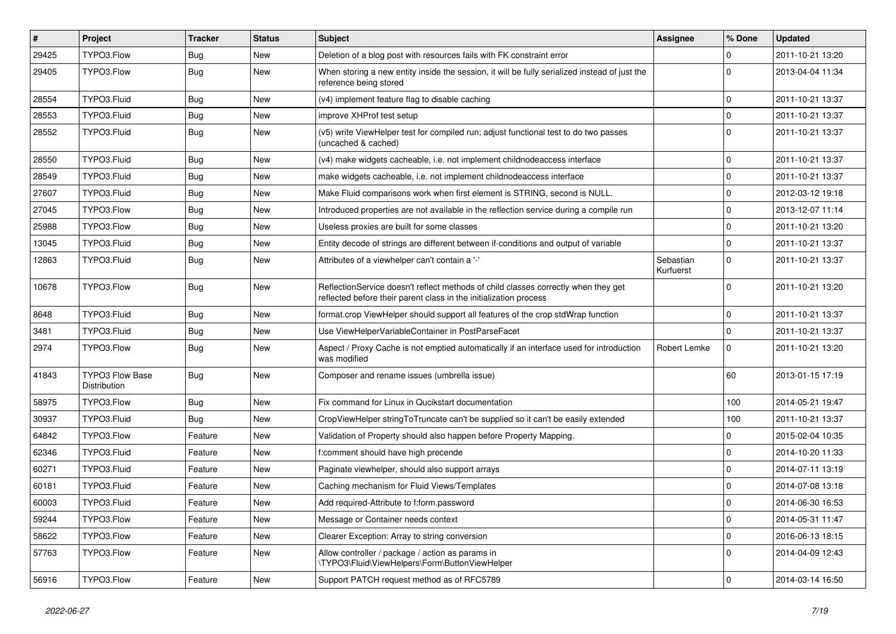| $\sharp$ | Project                                | <b>Tracker</b> | <b>Status</b> | Subject                                                                                                                                                 | Assignee               | % Done       | <b>Updated</b>   |
|----------|----------------------------------------|----------------|---------------|---------------------------------------------------------------------------------------------------------------------------------------------------------|------------------------|--------------|------------------|
| 29425    | TYPO3.Flow                             | Bug            | New           | Deletion of a blog post with resources fails with FK constraint error                                                                                   |                        | $\Omega$     | 2011-10-21 13:20 |
| 29405    | TYPO3.Flow                             | Bug            | New           | When storing a new entity inside the session, it will be fully serialized instead of just the<br>reference being stored                                 |                        | <sup>0</sup> | 2013-04-04 11:34 |
| 28554    | TYPO3.Fluid                            | Bug            | New           | (v4) implement feature flag to disable caching                                                                                                          |                        | $\Omega$     | 2011-10-21 13:37 |
| 28553    | TYPO3.Fluid                            | Bug            | <b>New</b>    | improve XHProf test setup                                                                                                                               |                        | $\Omega$     | 2011-10-21 13:37 |
| 28552    | TYPO3.Fluid                            | Bug            | New           | (v5) write ViewHelper test for compiled run; adjust functional test to do two passes<br>(uncached & cached)                                             |                        | $\Omega$     | 2011-10-21 13:37 |
| 28550    | TYPO3.Fluid                            | Bug            | New           | (v4) make widgets cacheable, i.e. not implement childnodeaccess interface                                                                               |                        | $\mathbf 0$  | 2011-10-21 13:37 |
| 28549    | TYPO3.Fluid                            | Bug            | New           | make widgets cacheable, i.e. not implement childnodeaccess interface                                                                                    |                        | $\Omega$     | 2011-10-21 13:37 |
| 27607    | TYPO3.Fluid                            | <b>Bug</b>     | New           | Make Fluid comparisons work when first element is STRING, second is NULL.                                                                               |                        | $\Omega$     | 2012-03-12 19:18 |
| 27045    | TYPO3.Flow                             | Bug            | New           | Introduced properties are not available in the reflection service during a compile run                                                                  |                        | $\Omega$     | 2013-12-07 11:14 |
| 25988    | TYPO3.Flow                             | Bug            | New           | Useless proxies are built for some classes                                                                                                              |                        | $\Omega$     | 2011-10-21 13:20 |
| 13045    | TYPO3.Fluid                            | Bug            | New           | Entity decode of strings are different between if-conditions and output of variable                                                                     |                        | $\Omega$     | 2011-10-21 13:37 |
| 12863    | TYPO3.Fluid                            | Bug            | New           | Attributes of a viewhelper can't contain a '-'                                                                                                          | Sebastian<br>Kurfuerst | $\mathbf 0$  | 2011-10-21 13:37 |
| 10678    | TYPO3.Flow                             | Bug            | New           | ReflectionService doesn't reflect methods of child classes correctly when they get<br>reflected before their parent class in the initialization process |                        | $\Omega$     | 2011-10-21 13:20 |
| 8648     | TYPO3.Fluid                            | Bug            | New           | format.crop ViewHelper should support all features of the crop stdWrap function                                                                         |                        | $\Omega$     | 2011-10-21 13:37 |
| 3481     | TYPO3.Fluid                            | Bug            | New           | Use ViewHelperVariableContainer in PostParseFacet                                                                                                       |                        | $\Omega$     | 2011-10-21 13:37 |
| 2974     | TYPO3.Flow                             | Bug            | New           | Aspect / Proxy Cache is not emptied automatically if an interface used for introduction<br>was modified                                                 | Robert Lemke           | $\mathbf 0$  | 2011-10-21 13:20 |
| 41843    | <b>TYPO3 Flow Base</b><br>Distribution | Bug            | New           | Composer and rename issues (umbrella issue)                                                                                                             |                        | 60           | 2013-01-15 17:19 |
| 58975    | TYPO3.Flow                             | Bug            | New           | Fix command for Linux in Qucikstart documentation                                                                                                       |                        | 100          | 2014-05-21 19:47 |
| 30937    | TYPO3.Fluid                            | Bug            | New           | CropViewHelper stringToTruncate can't be supplied so it can't be easily extended                                                                        |                        | 100          | 2011-10-21 13:37 |
| 64842    | TYPO3.Flow                             | Feature        | New           | Validation of Property should also happen before Property Mapping.                                                                                      |                        | 0            | 2015-02-04 10:35 |
| 62346    | TYPO3.Fluid                            | Feature        | New           | f:comment should have high precende                                                                                                                     |                        | $\Omega$     | 2014-10-20 11:33 |
| 60271    | TYPO3.Fluid                            | Feature        | New           | Paginate viewhelper, should also support arrays                                                                                                         |                        | $\Omega$     | 2014-07-11 13:19 |
| 60181    | TYPO3.Fluid                            | Feature        | New           | Caching mechanism for Fluid Views/Templates                                                                                                             |                        | $\Omega$     | 2014-07-08 13:18 |
| 60003    | TYPO3.Fluid                            | Feature        | New           | Add required-Attribute to f:form.password                                                                                                               |                        | $\Omega$     | 2014-06-30 16:53 |
| 59244    | TYPO3.Flow                             | Feature        | New           | Message or Container needs context                                                                                                                      |                        | $\mathbf 0$  | 2014-05-31 11:47 |
| 58622    | TYPO3.Flow                             | Feature        | New           | Clearer Exception: Array to string conversion                                                                                                           |                        | $\mathbf 0$  | 2016-06-13 18:15 |
| 57763    | TYPO3.Flow                             | Feature        | New           | Allow controller / package / action as params in<br>\TYPO3\Fluid\ViewHelpers\Form\ButtonViewHelper                                                      |                        | $\Omega$     | 2014-04-09 12:43 |
| 56916    | TYPO3.Flow                             | Feature        | New           | Support PATCH request method as of RFC5789                                                                                                              |                        | $\mathbf 0$  | 2014-03-14 16:50 |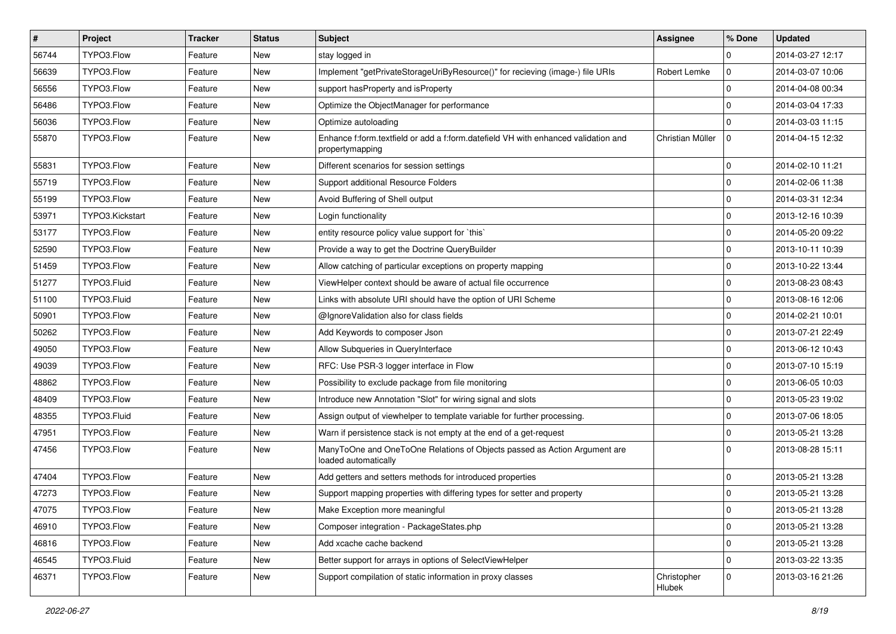| #     | Project         | <b>Tracker</b> | <b>Status</b> | Subject                                                                                               | <b>Assignee</b>       | % Done       | <b>Updated</b>   |
|-------|-----------------|----------------|---------------|-------------------------------------------------------------------------------------------------------|-----------------------|--------------|------------------|
| 56744 | TYPO3.Flow      | Feature        | New           | stay logged in                                                                                        |                       | $\mathbf 0$  | 2014-03-27 12:17 |
| 56639 | TYPO3.Flow      | Feature        | <b>New</b>    | Implement "getPrivateStorageUriByResource()" for recieving (image-) file URIs                         | Robert Lemke          | $\mathbf 0$  | 2014-03-07 10:06 |
| 56556 | TYPO3.Flow      | Feature        | New           | support has Property and is Property                                                                  |                       | $\mathbf{0}$ | 2014-04-08 00:34 |
| 56486 | TYPO3.Flow      | Feature        | New           | Optimize the ObjectManager for performance                                                            |                       | $\mathbf{0}$ | 2014-03-04 17:33 |
| 56036 | TYPO3.Flow      | Feature        | New           | Optimize autoloading                                                                                  |                       | $\mathbf 0$  | 2014-03-03 11:15 |
| 55870 | TYPO3.Flow      | Feature        | New           | Enhance f:form.textfield or add a f:form.datefield VH with enhanced validation and<br>propertymapping | Christian Müller      | $\Omega$     | 2014-04-15 12:32 |
| 55831 | TYPO3.Flow      | Feature        | New           | Different scenarios for session settings                                                              |                       | $\mathbf{0}$ | 2014-02-10 11:21 |
| 55719 | TYPO3.Flow      | Feature        | New           | Support additional Resource Folders                                                                   |                       | $\mathbf 0$  | 2014-02-06 11:38 |
| 55199 | TYPO3.Flow      | Feature        | New           | Avoid Buffering of Shell output                                                                       |                       | $\mathbf 0$  | 2014-03-31 12:34 |
| 53971 | TYPO3.Kickstart | Feature        | New           | Login functionality                                                                                   |                       | $\mathbf{0}$ | 2013-12-16 10:39 |
| 53177 | TYPO3.Flow      | Feature        | New           | entity resource policy value support for `this`                                                       |                       | $\mathbf{0}$ | 2014-05-20 09:22 |
| 52590 | TYPO3.Flow      | Feature        | New           | Provide a way to get the Doctrine QueryBuilder                                                        |                       | $\mathbf 0$  | 2013-10-11 10:39 |
| 51459 | TYPO3.Flow      | Feature        | New           | Allow catching of particular exceptions on property mapping                                           |                       | $\mathbf 0$  | 2013-10-22 13:44 |
| 51277 | TYPO3.Fluid     | Feature        | New           | ViewHelper context should be aware of actual file occurrence                                          |                       | $\mathbf 0$  | 2013-08-23 08:43 |
| 51100 | TYPO3.Fluid     | Feature        | New           | Links with absolute URI should have the option of URI Scheme                                          |                       | $\mathbf 0$  | 2013-08-16 12:06 |
| 50901 | TYPO3.Flow      | Feature        | New           | @IgnoreValidation also for class fields                                                               |                       | $\mathbf{0}$ | 2014-02-21 10:01 |
| 50262 | TYPO3.Flow      | Feature        | New           | Add Keywords to composer Json                                                                         |                       | $\mathbf 0$  | 2013-07-21 22:49 |
| 49050 | TYPO3.Flow      | Feature        | New           | Allow Subqueries in QueryInterface                                                                    |                       | $\mathbf 0$  | 2013-06-12 10:43 |
| 49039 | TYPO3.Flow      | Feature        | <b>New</b>    | RFC: Use PSR-3 logger interface in Flow                                                               |                       | $\mathbf 0$  | 2013-07-10 15:19 |
| 48862 | TYPO3.Flow      | Feature        | New           | Possibility to exclude package from file monitoring                                                   |                       | $\mathbf 0$  | 2013-06-05 10:03 |
| 48409 | TYPO3.Flow      | Feature        | New           | Introduce new Annotation "Slot" for wiring signal and slots                                           |                       | $\mathbf 0$  | 2013-05-23 19:02 |
| 48355 | TYPO3.Fluid     | Feature        | New           | Assign output of viewhelper to template variable for further processing.                              |                       | $\mathbf 0$  | 2013-07-06 18:05 |
| 47951 | TYPO3.Flow      | Feature        | New           | Warn if persistence stack is not empty at the end of a get-request                                    |                       | $\mathbf 0$  | 2013-05-21 13:28 |
| 47456 | TYPO3.Flow      | Feature        | New           | ManyToOne and OneToOne Relations of Objects passed as Action Argument are<br>loaded automatically     |                       | $\Omega$     | 2013-08-28 15:11 |
| 47404 | TYPO3.Flow      | Feature        | New           | Add getters and setters methods for introduced properties                                             |                       | $\mathbf 0$  | 2013-05-21 13:28 |
| 47273 | TYPO3.Flow      | Feature        | <b>New</b>    | Support mapping properties with differing types for setter and property                               |                       | $\Omega$     | 2013-05-21 13:28 |
| 47075 | TYPO3.Flow      | Feature        | New           | Make Exception more meaningful                                                                        |                       | 0            | 2013-05-21 13:28 |
| 46910 | TYPO3.Flow      | Feature        | New           | Composer integration - PackageStates.php                                                              |                       | $\mathbf 0$  | 2013-05-21 13:28 |
| 46816 | TYPO3.Flow      | Feature        | New           | Add xcache cache backend                                                                              |                       | $\mathbf 0$  | 2013-05-21 13:28 |
| 46545 | TYPO3.Fluid     | Feature        | New           | Better support for arrays in options of SelectViewHelper                                              |                       | 0            | 2013-03-22 13:35 |
| 46371 | TYPO3.Flow      | Feature        | New           | Support compilation of static information in proxy classes                                            | Christopher<br>Hlubek | $\mathbf 0$  | 2013-03-16 21:26 |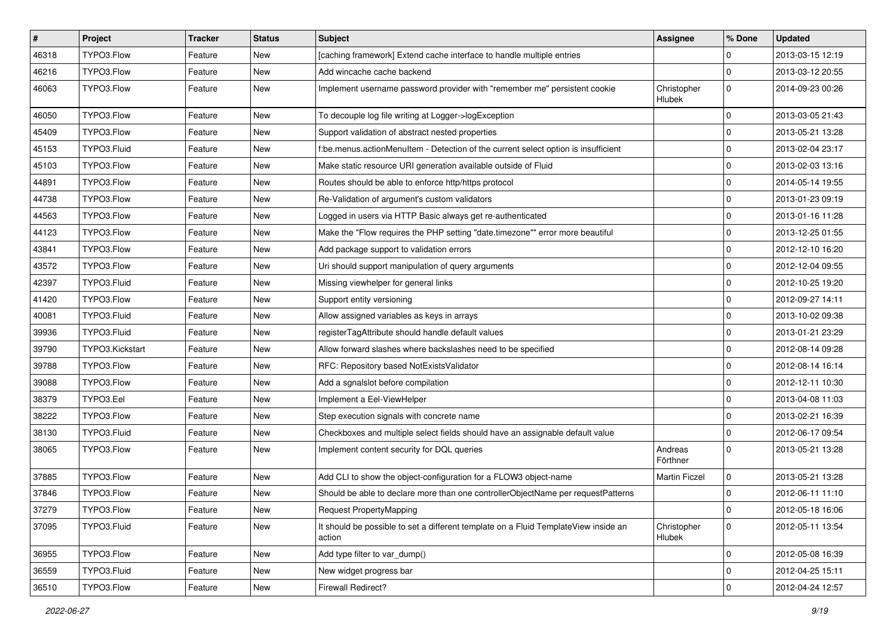| $\vert$ # | Project         | <b>Tracker</b> | <b>Status</b> | Subject                                                                                       | <b>Assignee</b>       | % Done       | <b>Updated</b>   |
|-----------|-----------------|----------------|---------------|-----------------------------------------------------------------------------------------------|-----------------------|--------------|------------------|
| 46318     | TYPO3.Flow      | Feature        | New           | [caching framework] Extend cache interface to handle multiple entries                         |                       | $\mathbf 0$  | 2013-03-15 12:19 |
| 46216     | TYPO3.Flow      | Feature        | New           | Add wincache cache backend                                                                    |                       | $\mathbf 0$  | 2013-03-12 20:55 |
| 46063     | TYPO3.Flow      | Feature        | New           | Implement username password provider with "remember me" persistent cookie                     | Christopher<br>Hlubek | $\Omega$     | 2014-09-23 00:26 |
| 46050     | TYPO3.Flow      | Feature        | <b>New</b>    | To decouple log file writing at Logger->logException                                          |                       | $\mathbf 0$  | 2013-03-05 21:43 |
| 45409     | TYPO3.Flow      | Feature        | New           | Support validation of abstract nested properties                                              |                       | $\mathbf 0$  | 2013-05-21 13:28 |
| 45153     | TYPO3.Fluid     | Feature        | New           | f:be.menus.actionMenuItem - Detection of the current select option is insufficient            |                       | $\mathbf 0$  | 2013-02-04 23:17 |
| 45103     | TYPO3.Flow      | Feature        | New           | Make static resource URI generation available outside of Fluid                                |                       | $\mathbf 0$  | 2013-02-03 13:16 |
| 44891     | TYPO3.Flow      | Feature        | New           | Routes should be able to enforce http/https protocol                                          |                       | $\mathbf{0}$ | 2014-05-14 19:55 |
| 44738     | TYPO3.Flow      | Feature        | <b>New</b>    | Re-Validation of argument's custom validators                                                 |                       | $\mathbf 0$  | 2013-01-23 09:19 |
| 44563     | TYPO3.Flow      | Feature        | New           | Logged in users via HTTP Basic always get re-authenticated                                    |                       | $\mathbf{0}$ | 2013-01-16 11:28 |
| 44123     | TYPO3.Flow      | Feature        | New           | Make the "Flow requires the PHP setting "date.timezone"" error more beautiful                 |                       | $\mathbf{0}$ | 2013-12-25 01:55 |
| 43841     | TYPO3.Flow      | Feature        | New           | Add package support to validation errors                                                      |                       | $\mathbf{0}$ | 2012-12-10 16:20 |
| 43572     | TYPO3.Flow      | Feature        | New           | Uri should support manipulation of query arguments                                            |                       | $\mathbf{0}$ | 2012-12-04 09:55 |
| 42397     | TYPO3.Fluid     | Feature        | New           | Missing viewhelper for general links                                                          |                       | $\mathbf 0$  | 2012-10-25 19:20 |
| 41420     | TYPO3.Flow      | Feature        | New           | Support entity versioning                                                                     |                       | $\mathbf{0}$ | 2012-09-27 14:11 |
| 40081     | TYPO3.Fluid     | Feature        | New           | Allow assigned variables as keys in arrays                                                    |                       | $\mathbf{0}$ | 2013-10-02 09:38 |
| 39936     | TYPO3.Fluid     | Feature        | New           | registerTagAttribute should handle default values                                             |                       | $\mathbf{0}$ | 2013-01-21 23:29 |
| 39790     | TYPO3.Kickstart | Feature        | New           | Allow forward slashes where backslashes need to be specified                                  |                       | $\mathbf{0}$ | 2012-08-14 09:28 |
| 39788     | TYPO3.Flow      | Feature        | <b>New</b>    | RFC: Repository based NotExistsValidator                                                      |                       | $\mathbf{0}$ | 2012-08-14 16:14 |
| 39088     | TYPO3.Flow      | Feature        | New           | Add a sgnalslot before compilation                                                            |                       | $\mathbf{0}$ | 2012-12-11 10:30 |
| 38379     | TYPO3.Eel       | Feature        | New           | Implement a Eel-ViewHelper                                                                    |                       | $\mathbf{0}$ | 2013-04-08 11:03 |
| 38222     | TYPO3.Flow      | Feature        | New           | Step execution signals with concrete name                                                     |                       | $\mathbf 0$  | 2013-02-21 16:39 |
| 38130     | TYPO3.Fluid     | Feature        | New           | Checkboxes and multiple select fields should have an assignable default value                 |                       | $\mathbf{0}$ | 2012-06-17 09:54 |
| 38065     | TYPO3.Flow      | Feature        | New           | Implement content security for DQL queries                                                    | Andreas<br>Förthner   | $\Omega$     | 2013-05-21 13:28 |
| 37885     | TYPO3.Flow      | Feature        | New           | Add CLI to show the object-configuration for a FLOW3 object-name                              | <b>Martin Ficzel</b>  | $\mathbf 0$  | 2013-05-21 13:28 |
| 37846     | TYPO3.Flow      | Feature        | New           | Should be able to declare more than one controllerObjectName per requestPatterns              |                       | $\mathbf 0$  | 2012-06-11 11:10 |
| 37279     | TYPO3.Flow      | Feature        | New           | <b>Request PropertyMapping</b>                                                                |                       | 0            | 2012-05-18 16:06 |
| 37095     | TYPO3.Fluid     | Feature        | New           | It should be possible to set a different template on a Fluid TemplateView inside an<br>action | Christopher<br>Hlubek | 0            | 2012-05-11 13:54 |
| 36955     | TYPO3.Flow      | Feature        | New           | Add type filter to var dump()                                                                 |                       | $\mathbf 0$  | 2012-05-08 16:39 |
| 36559     | TYPO3.Fluid     | Feature        | New           | New widget progress bar                                                                       |                       | l 0          | 2012-04-25 15:11 |
| 36510     | TYPO3.Flow      | Feature        | New           | Firewall Redirect?                                                                            |                       | 0            | 2012-04-24 12:57 |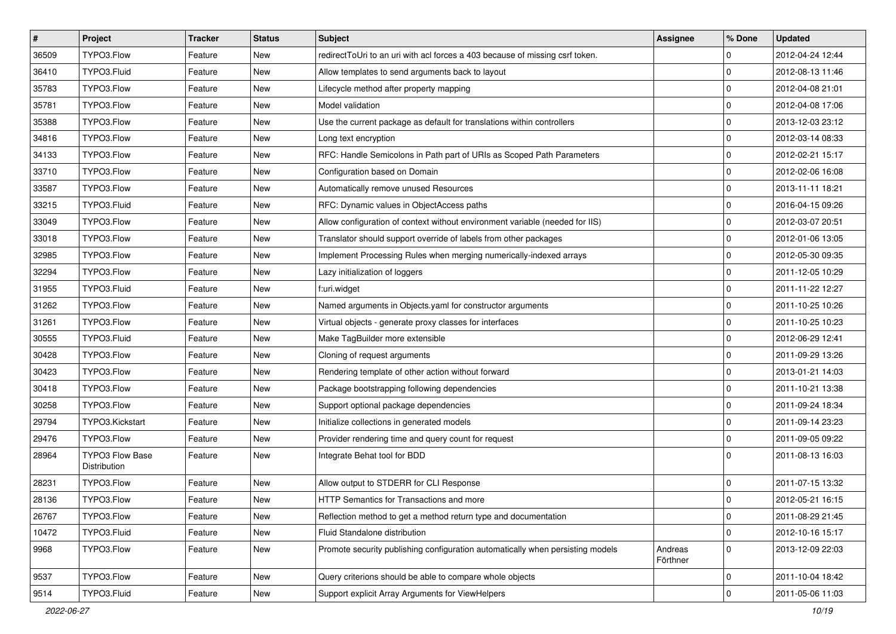| #     | Project                                | <b>Tracker</b> | <b>Status</b> | <b>Subject</b>                                                                 | <b>Assignee</b>     | % Done       | <b>Updated</b>   |
|-------|----------------------------------------|----------------|---------------|--------------------------------------------------------------------------------|---------------------|--------------|------------------|
| 36509 | TYPO3.Flow                             | Feature        | New           | redirectToUri to an uri with acl forces a 403 because of missing csrf token.   |                     | $\mathbf 0$  | 2012-04-24 12:44 |
| 36410 | TYPO3.Fluid                            | Feature        | <b>New</b>    | Allow templates to send arguments back to layout                               |                     | $\mathbf 0$  | 2012-08-13 11:46 |
| 35783 | TYPO3.Flow                             | Feature        | New           | Lifecycle method after property mapping                                        |                     | $\mathbf{0}$ | 2012-04-08 21:01 |
| 35781 | TYPO3.Flow                             | Feature        | New           | Model validation                                                               |                     | $\mathbf 0$  | 2012-04-08 17:06 |
| 35388 | TYPO3.Flow                             | Feature        | New           | Use the current package as default for translations within controllers         |                     | $\mathbf 0$  | 2013-12-03 23:12 |
| 34816 | TYPO3.Flow                             | Feature        | New           | Long text encryption                                                           |                     | $\mathbf{0}$ | 2012-03-14 08:33 |
| 34133 | TYPO3.Flow                             | Feature        | New           | RFC: Handle Semicolons in Path part of URIs as Scoped Path Parameters          |                     | $\mathbf 0$  | 2012-02-21 15:17 |
| 33710 | TYPO3.Flow                             | Feature        | New           | Configuration based on Domain                                                  |                     | $\mathbf 0$  | 2012-02-06 16:08 |
| 33587 | TYPO3.Flow                             | Feature        | New           | Automatically remove unused Resources                                          |                     | $\mathbf{0}$ | 2013-11-11 18:21 |
| 33215 | TYPO3.Fluid                            | Feature        | New           | RFC: Dynamic values in ObjectAccess paths                                      |                     | $\mathbf 0$  | 2016-04-15 09:26 |
| 33049 | TYPO3.Flow                             | Feature        | New           | Allow configuration of context without environment variable (needed for IIS)   |                     | $\mathbf{0}$ | 2012-03-07 20:51 |
| 33018 | TYPO3.Flow                             | Feature        | New           | Translator should support override of labels from other packages               |                     | $\mathbf{0}$ | 2012-01-06 13:05 |
| 32985 | TYPO3.Flow                             | Feature        | New           | Implement Processing Rules when merging numerically-indexed arrays             |                     | $\mathbf{0}$ | 2012-05-30 09:35 |
| 32294 | TYPO3.Flow                             | Feature        | New           | Lazy initialization of loggers                                                 |                     | $\mathbf{0}$ | 2011-12-05 10:29 |
| 31955 | TYPO3.Fluid                            | Feature        | New           | f:uri.widget                                                                   |                     | $\mathbf 0$  | 2011-11-22 12:27 |
| 31262 | TYPO3.Flow                             | Feature        | New           | Named arguments in Objects yaml for constructor arguments                      |                     | $\mathbf{0}$ | 2011-10-25 10:26 |
| 31261 | TYPO3.Flow                             | Feature        | New           | Virtual objects - generate proxy classes for interfaces                        |                     | $\mathbf{0}$ | 2011-10-25 10:23 |
| 30555 | TYPO3.Fluid                            | Feature        | New           | Make TagBuilder more extensible                                                |                     | $\mathbf 0$  | 2012-06-29 12:41 |
| 30428 | TYPO3.Flow                             | Feature        | New           | Cloning of request arguments                                                   |                     | $\mathbf{0}$ | 2011-09-29 13:26 |
| 30423 | TYPO3.Flow                             | Feature        | New           | Rendering template of other action without forward                             |                     | $\mathbf 0$  | 2013-01-21 14:03 |
| 30418 | TYPO3.Flow                             | Feature        | New           | Package bootstrapping following dependencies                                   |                     | $\mathbf{0}$ | 2011-10-21 13:38 |
| 30258 | TYPO3.Flow                             | Feature        | New           | Support optional package dependencies                                          |                     | $\mathbf{0}$ | 2011-09-24 18:34 |
| 29794 | TYPO3.Kickstart                        | Feature        | New           | Initialize collections in generated models                                     |                     | $\mathbf 0$  | 2011-09-14 23:23 |
| 29476 | TYPO3.Flow                             | Feature        | New           | Provider rendering time and query count for request                            |                     | $\mathbf{0}$ | 2011-09-05 09:22 |
| 28964 | <b>TYPO3 Flow Base</b><br>Distribution | Feature        | New           | Integrate Behat tool for BDD                                                   |                     | $\Omega$     | 2011-08-13 16:03 |
| 28231 | TYPO3.Flow                             | Feature        | <b>New</b>    | Allow output to STDERR for CLI Response                                        |                     | $\mathbf 0$  | 2011-07-15 13:32 |
| 28136 | TYPO3.Flow                             | Feature        | New           | HTTP Semantics for Transactions and more                                       |                     | $\mathbf 0$  | 2012-05-21 16:15 |
| 26767 | TYPO3.Flow                             | Feature        | New           | Reflection method to get a method return type and documentation                |                     | 0            | 2011-08-29 21:45 |
| 10472 | TYPO3.Fluid                            | Feature        | New           | Fluid Standalone distribution                                                  |                     | $\mathbf 0$  | 2012-10-16 15:17 |
| 9968  | TYPO3.Flow                             | Feature        | New           | Promote security publishing configuration automatically when persisting models | Andreas<br>Förthner | $\mathbf{0}$ | 2013-12-09 22:03 |
| 9537  | TYPO3.Flow                             | Feature        | New           | Query criterions should be able to compare whole objects                       |                     | $\mathbf 0$  | 2011-10-04 18:42 |
| 9514  | TYPO3.Fluid                            | Feature        | New           | Support explicit Array Arguments for ViewHelpers                               |                     | 0            | 2011-05-06 11:03 |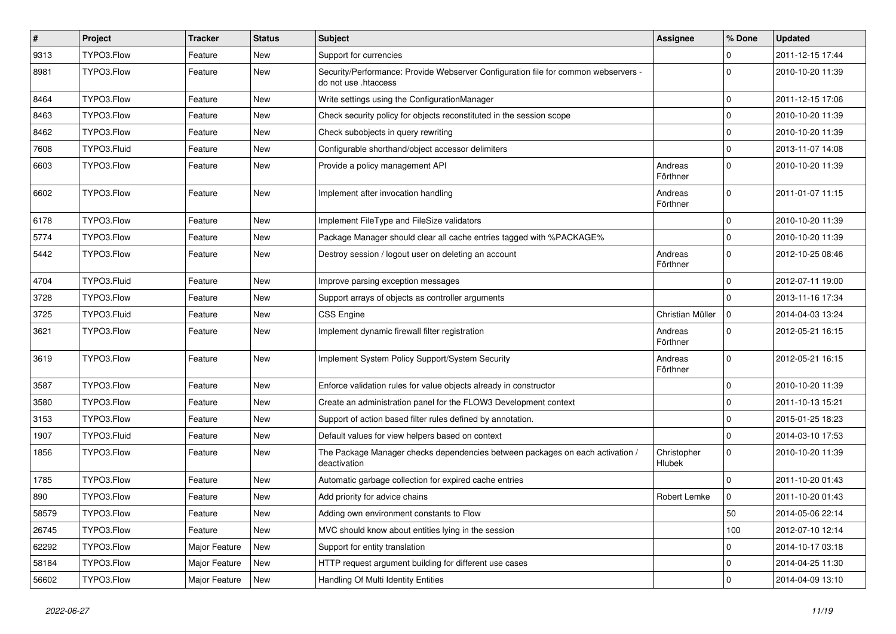| $\vert$ # | Project     | Tracker       | <b>Status</b> | Subject                                                                                                    | Assignee              | % Done         | <b>Updated</b>   |
|-----------|-------------|---------------|---------------|------------------------------------------------------------------------------------------------------------|-----------------------|----------------|------------------|
| 9313      | TYPO3.Flow  | Feature       | New           | Support for currencies                                                                                     |                       | 0              | 2011-12-15 17:44 |
| 8981      | TYPO3.Flow  | Feature       | New           | Security/Performance: Provide Webserver Configuration file for common webservers -<br>do not use .htaccess |                       | $\Omega$       | 2010-10-20 11:39 |
| 8464      | TYPO3.Flow  | Feature       | <b>New</b>    | Write settings using the ConfigurationManager                                                              |                       | $\Omega$       | 2011-12-15 17:06 |
| 8463      | TYPO3.Flow  | Feature       | <b>New</b>    | Check security policy for objects reconstituted in the session scope                                       |                       | $\overline{0}$ | 2010-10-20 11:39 |
| 8462      | TYPO3.Flow  | Feature       | New           | Check subobjects in query rewriting                                                                        |                       | $\Omega$       | 2010-10-20 11:39 |
| 7608      | TYPO3.Fluid | Feature       | <b>New</b>    | Configurable shorthand/object accessor delimiters                                                          |                       | $\Omega$       | 2013-11-07 14:08 |
| 6603      | TYPO3.Flow  | Feature       | New           | Provide a policy management API                                                                            | Andreas<br>Förthner   | $\overline{0}$ | 2010-10-20 11:39 |
| 6602      | TYPO3.Flow  | Feature       | New           | Implement after invocation handling                                                                        | Andreas<br>Förthner   | $\Omega$       | 2011-01-07 11:15 |
| 6178      | TYPO3.Flow  | Feature       | New           | Implement FileType and FileSize validators                                                                 |                       | $\Omega$       | 2010-10-20 11:39 |
| 5774      | TYPO3.Flow  | Feature       | <b>New</b>    | Package Manager should clear all cache entries tagged with %PACKAGE%                                       |                       | 0              | 2010-10-20 11:39 |
| 5442      | TYPO3.Flow  | Feature       | New           | Destroy session / logout user on deleting an account                                                       | Andreas<br>Förthner   | $\Omega$       | 2012-10-25 08:46 |
| 4704      | TYPO3.Fluid | Feature       | New           | Improve parsing exception messages                                                                         |                       | $\overline{0}$ | 2012-07-11 19:00 |
| 3728      | TYPO3.Flow  | Feature       | New           | Support arrays of objects as controller arguments                                                          |                       | $\Omega$       | 2013-11-16 17:34 |
| 3725      | TYPO3.Fluid | Feature       | <b>New</b>    | <b>CSS Engine</b>                                                                                          | Christian Müller      | $\Omega$       | 2014-04-03 13:24 |
| 3621      | TYPO3.Flow  | Feature       | New           | Implement dynamic firewall filter registration                                                             | Andreas<br>Förthner   | $\Omega$       | 2012-05-21 16:15 |
| 3619      | TYPO3.Flow  | Feature       | <b>New</b>    | Implement System Policy Support/System Security                                                            | Andreas<br>Förthner   | $\Omega$       | 2012-05-21 16:15 |
| 3587      | TYPO3.Flow  | Feature       | <b>New</b>    | Enforce validation rules for value objects already in constructor                                          |                       | $\mathbf 0$    | 2010-10-20 11:39 |
| 3580      | TYPO3.Flow  | Feature       | New           | Create an administration panel for the FLOW3 Development context                                           |                       | $\overline{0}$ | 2011-10-13 15:21 |
| 3153      | TYPO3.Flow  | Feature       | <b>New</b>    | Support of action based filter rules defined by annotation.                                                |                       | $\Omega$       | 2015-01-25 18:23 |
| 1907      | TYPO3.Fluid | Feature       | New           | Default values for view helpers based on context                                                           |                       | $\Omega$       | 2014-03-10 17:53 |
| 1856      | TYPO3.Flow  | Feature       | New           | The Package Manager checks dependencies between packages on each activation /<br>deactivation              | Christopher<br>Hlubek | $\Omega$       | 2010-10-20 11:39 |
| 1785      | TYPO3.Flow  | Feature       | <b>New</b>    | Automatic garbage collection for expired cache entries                                                     |                       | $\Omega$       | 2011-10-20 01:43 |
| 890       | TYPO3.Flow  | Feature       | New           | Add priority for advice chains                                                                             | Robert Lemke          | $\Omega$       | 2011-10-20 01:43 |
| 58579     | TYPO3.Flow  | Feature       | New           | Adding own environment constants to Flow                                                                   |                       | 50             | 2014-05-06 22:14 |
| 26745     | TYPO3.Flow  | Feature       | New           | MVC should know about entities lying in the session                                                        |                       | 100            | 2012-07-10 12:14 |
| 62292     | TYPO3.Flow  | Major Feature | New           | Support for entity translation                                                                             |                       | $\overline{0}$ | 2014-10-17 03:18 |
| 58184     | TYPO3.Flow  | Major Feature | New           | HTTP request argument building for different use cases                                                     |                       | 0              | 2014-04-25 11:30 |
| 56602     | TYPO3.Flow  | Major Feature | New           | Handling Of Multi Identity Entities                                                                        |                       | l 0            | 2014-04-09 13:10 |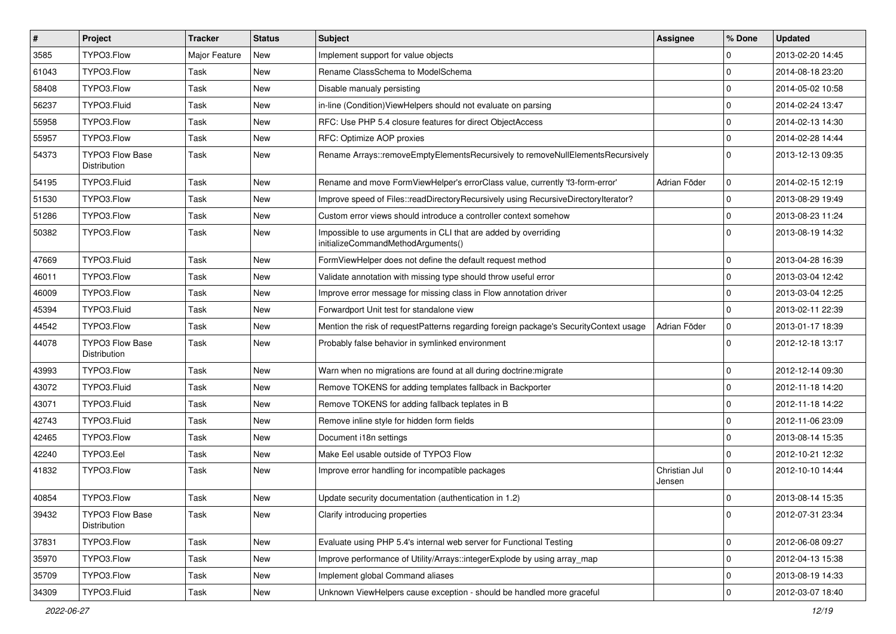| $\pmb{\#}$ | <b>Project</b>                         | <b>Tracker</b> | <b>Status</b> | <b>Subject</b>                                                                                        | Assignee                | % Done      | <b>Updated</b>   |
|------------|----------------------------------------|----------------|---------------|-------------------------------------------------------------------------------------------------------|-------------------------|-------------|------------------|
| 3585       | TYPO3.Flow                             | Major Feature  | New           | Implement support for value objects                                                                   |                         | 0           | 2013-02-20 14:45 |
| 61043      | TYPO3.Flow                             | Task           | <b>New</b>    | Rename ClassSchema to ModelSchema                                                                     |                         | $\Omega$    | 2014-08-18 23:20 |
| 58408      | TYPO3.Flow                             | Task           | New           | Disable manualy persisting                                                                            |                         | $\Omega$    | 2014-05-02 10:58 |
| 56237      | TYPO3.Fluid                            | Task           | New           | in-line (Condition) View Helpers should not evaluate on parsing                                       |                         | $\Omega$    | 2014-02-24 13:47 |
| 55958      | TYPO3.Flow                             | Task           | New           | RFC: Use PHP 5.4 closure features for direct ObjectAccess                                             |                         | $\Omega$    | 2014-02-13 14:30 |
| 55957      | TYPO3.Flow                             | Task           | New           | RFC: Optimize AOP proxies                                                                             |                         | $\Omega$    | 2014-02-28 14:44 |
| 54373      | <b>TYPO3 Flow Base</b><br>Distribution | Task           | New           | Rename Arrays::removeEmptyElementsRecursively to removeNullElementsRecursively                        |                         | $\Omega$    | 2013-12-13 09:35 |
| 54195      | TYPO3.Fluid                            | Task           | <b>New</b>    | Rename and move FormViewHelper's errorClass value, currently 'f3-form-error'                          | Adrian Föder            | $\Omega$    | 2014-02-15 12:19 |
| 51530      | TYPO3.Flow                             | Task           | New           | Improve speed of Files::readDirectoryRecursively using RecursiveDirectoryIterator?                    |                         | $\mathbf 0$ | 2013-08-29 19:49 |
| 51286      | TYPO3.Flow                             | Task           | New           | Custom error views should introduce a controller context somehow                                      |                         | $\Omega$    | 2013-08-23 11:24 |
| 50382      | TYPO3.Flow                             | Task           | New           | Impossible to use arguments in CLI that are added by overriding<br>initializeCommandMethodArguments() |                         | $\Omega$    | 2013-08-19 14:32 |
| 47669      | TYPO3.Fluid                            | Task           | New           | FormViewHelper does not define the default request method                                             |                         | $\Omega$    | 2013-04-28 16:39 |
| 46011      | TYPO3.Flow                             | Task           | <b>New</b>    | Validate annotation with missing type should throw useful error                                       |                         | $\Omega$    | 2013-03-04 12:42 |
| 46009      | TYPO3.Flow                             | Task           | New           | Improve error message for missing class in Flow annotation driver                                     |                         | $\Omega$    | 2013-03-04 12:25 |
| 45394      | TYPO3.Fluid                            | Task           | New           | Forwardport Unit test for standalone view                                                             |                         | $\Omega$    | 2013-02-11 22:39 |
| 44542      | TYPO3.Flow                             | Task           | <b>New</b>    | Mention the risk of requestPatterns regarding foreign package's SecurityContext usage                 | Adrian Föder            | $\mathbf 0$ | 2013-01-17 18:39 |
| 44078      | <b>TYPO3 Flow Base</b><br>Distribution | Task           | New           | Probably false behavior in symlinked environment                                                      |                         | $\Omega$    | 2012-12-18 13:17 |
| 43993      | TYPO3.Flow                             | Task           | <b>New</b>    | Warn when no migrations are found at all during doctrine: migrate                                     |                         | $\Omega$    | 2012-12-14 09:30 |
| 43072      | TYPO3.Fluid                            | Task           | New           | Remove TOKENS for adding templates fallback in Backporter                                             |                         | $\Omega$    | 2012-11-18 14:20 |
| 43071      | TYPO3.Fluid                            | Task           | New           | Remove TOKENS for adding fallback teplates in B                                                       |                         | $\Omega$    | 2012-11-18 14:22 |
| 42743      | TYPO3.Fluid                            | Task           | New           | Remove inline style for hidden form fields                                                            |                         | $\mathbf 0$ | 2012-11-06 23:09 |
| 42465      | TYPO3.Flow                             | Task           | New           | Document i18n settings                                                                                |                         | $\Omega$    | 2013-08-14 15:35 |
| 42240      | TYPO3.Eel                              | Task           | <b>New</b>    | Make Eel usable outside of TYPO3 Flow                                                                 |                         | $\Omega$    | 2012-10-21 12:32 |
| 41832      | TYPO3.Flow                             | Task           | New           | Improve error handling for incompatible packages                                                      | Christian Jul<br>Jensen | $\mathbf 0$ | 2012-10-10 14:44 |
| 40854      | TYPO3.Flow                             | Task           | <b>New</b>    | Update security documentation (authentication in 1.2)                                                 |                         | $\Omega$    | 2013-08-14 15:35 |
| 39432      | TYPO3 Flow Base<br>Distribution        | Task           | New           | Clarify introducing properties                                                                        |                         | 0           | 2012-07-31 23:34 |
| 37831      | TYPO3.Flow                             | Task           | New           | Evaluate using PHP 5.4's internal web server for Functional Testing                                   |                         | $\mathbf 0$ | 2012-06-08 09:27 |
| 35970      | TYPO3.Flow                             | Task           | New           | Improve performance of Utility/Arrays::integerExplode by using array_map                              |                         | $\mathbf 0$ | 2012-04-13 15:38 |
| 35709      | TYPO3.Flow                             | Task           | New           | Implement global Command aliases                                                                      |                         | 0           | 2013-08-19 14:33 |
| 34309      | TYPO3.Fluid                            | Task           | New           | Unknown ViewHelpers cause exception - should be handled more graceful                                 |                         | $\mathbf 0$ | 2012-03-07 18:40 |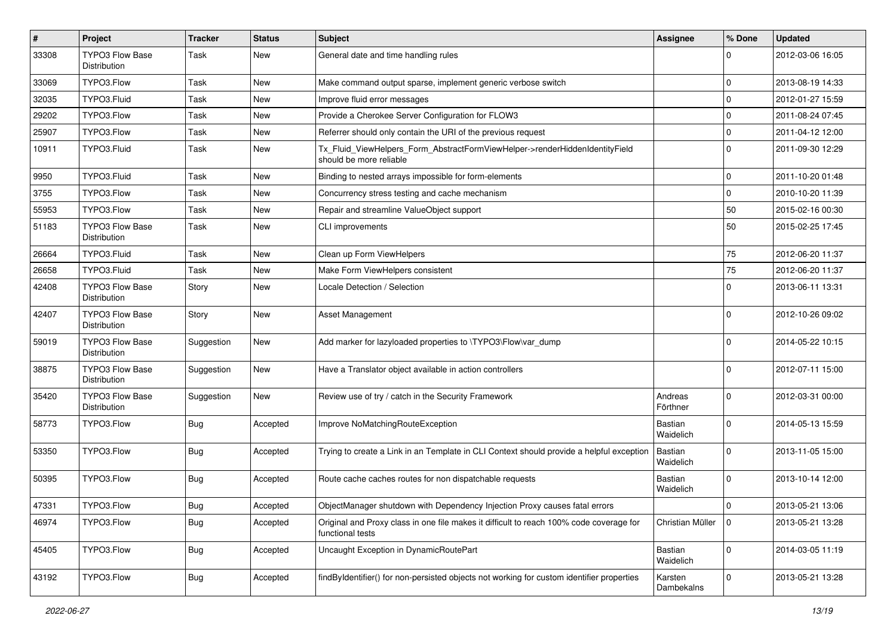| $\pmb{\#}$ | Project                                       | <b>Tracker</b> | <b>Status</b> | <b>Subject</b>                                                                                              | <b>Assignee</b>       | % Done      | <b>Updated</b>   |
|------------|-----------------------------------------------|----------------|---------------|-------------------------------------------------------------------------------------------------------------|-----------------------|-------------|------------------|
| 33308      | <b>TYPO3 Flow Base</b><br>Distribution        | Task           | New           | General date and time handling rules                                                                        |                       | $\Omega$    | 2012-03-06 16:05 |
| 33069      | TYPO3.Flow                                    | Task           | <b>New</b>    | Make command output sparse, implement generic verbose switch                                                |                       | 0           | 2013-08-19 14:33 |
| 32035      | TYPO3.Fluid                                   | Task           | New           | Improve fluid error messages                                                                                |                       | $\mathbf 0$ | 2012-01-27 15:59 |
| 29202      | TYPO3.Flow                                    | Task           | New           | Provide a Cherokee Server Configuration for FLOW3                                                           |                       | $\mathbf 0$ | 2011-08-24 07:45 |
| 25907      | TYPO3.Flow                                    | Task           | New           | Referrer should only contain the URI of the previous request                                                |                       | 0           | 2011-04-12 12:00 |
| 10911      | TYPO3.Fluid                                   | Task           | New           | Tx_Fluid_ViewHelpers_Form_AbstractFormViewHelper->renderHiddenIdentityField<br>should be more reliable      |                       | $\Omega$    | 2011-09-30 12:29 |
| 9950       | TYPO3.Fluid                                   | Task           | <b>New</b>    | Binding to nested arrays impossible for form-elements                                                       |                       | $\mathbf 0$ | 2011-10-20 01:48 |
| 3755       | TYPO3.Flow                                    | Task           | <b>New</b>    | Concurrency stress testing and cache mechanism                                                              |                       | 0           | 2010-10-20 11:39 |
| 55953      | TYPO3.Flow                                    | Task           | New           | Repair and streamline ValueObject support                                                                   |                       | 50          | 2015-02-16 00:30 |
| 51183      | <b>TYPO3 Flow Base</b><br>Distribution        | Task           | New           | <b>CLI</b> improvements                                                                                     |                       | 50          | 2015-02-25 17:45 |
| 26664      | TYPO3.Fluid                                   | Task           | <b>New</b>    | Clean up Form ViewHelpers                                                                                   |                       | 75          | 2012-06-20 11:37 |
| 26658      | TYPO3.Fluid                                   | Task           | <b>New</b>    | Make Form ViewHelpers consistent                                                                            |                       | 75          | 2012-06-20 11:37 |
| 42408      | <b>TYPO3 Flow Base</b><br>Distribution        | Story          | New           | Locale Detection / Selection                                                                                |                       | $\Omega$    | 2013-06-11 13:31 |
| 42407      | TYPO3 Flow Base<br>Distribution               | Story          | New           | <b>Asset Management</b>                                                                                     |                       | $\Omega$    | 2012-10-26 09:02 |
| 59019      | <b>TYPO3 Flow Base</b><br><b>Distribution</b> | Suggestion     | New           | Add marker for lazyloaded properties to \TYPO3\Flow\var_dump                                                |                       | $\Omega$    | 2014-05-22 10:15 |
| 38875      | <b>TYPO3 Flow Base</b><br>Distribution        | Suggestion     | New           | Have a Translator object available in action controllers                                                    |                       | $\Omega$    | 2012-07-11 15:00 |
| 35420      | <b>TYPO3 Flow Base</b><br>Distribution        | Suggestion     | New           | Review use of try / catch in the Security Framework                                                         | Andreas<br>Förthner   | $\mathbf 0$ | 2012-03-31 00:00 |
| 58773      | TYPO3.Flow                                    | <b>Bug</b>     | Accepted      | Improve NoMatchingRouteException                                                                            | Bastian<br>Waidelich  | $\Omega$    | 2014-05-13 15:59 |
| 53350      | TYPO3.Flow                                    | <b>Bug</b>     | Accepted      | Trying to create a Link in an Template in CLI Context should provide a helpful exception                    | Bastian<br>Waidelich  | $\Omega$    | 2013-11-05 15:00 |
| 50395      | TYPO3.Flow                                    | Bug            | Accepted      | Route cache caches routes for non dispatchable requests                                                     | Bastian<br>Waidelich  | $\Omega$    | 2013-10-14 12:00 |
| 47331      | TYPO3.Flow                                    | Bug            | Accepted      | ObjectManager shutdown with Dependency Injection Proxy causes fatal errors                                  |                       | $\mathbf 0$ | 2013-05-21 13:06 |
| 46974      | TYPO3.Flow                                    | <b>Bug</b>     | Accepted      | Original and Proxy class in one file makes it difficult to reach 100% code coverage for<br>functional tests | Christian Müller      | 0           | 2013-05-21 13:28 |
| 45405      | TYPO3.Flow                                    | <b>Bug</b>     | Accepted      | Uncaught Exception in DynamicRoutePart                                                                      | Bastian<br>Waidelich  | $\mathbf 0$ | 2014-03-05 11:19 |
| 43192      | TYPO3.Flow                                    | Bug            | Accepted      | findByIdentifier() for non-persisted objects not working for custom identifier properties                   | Karsten<br>Dambekalns | $\mathbf 0$ | 2013-05-21 13:28 |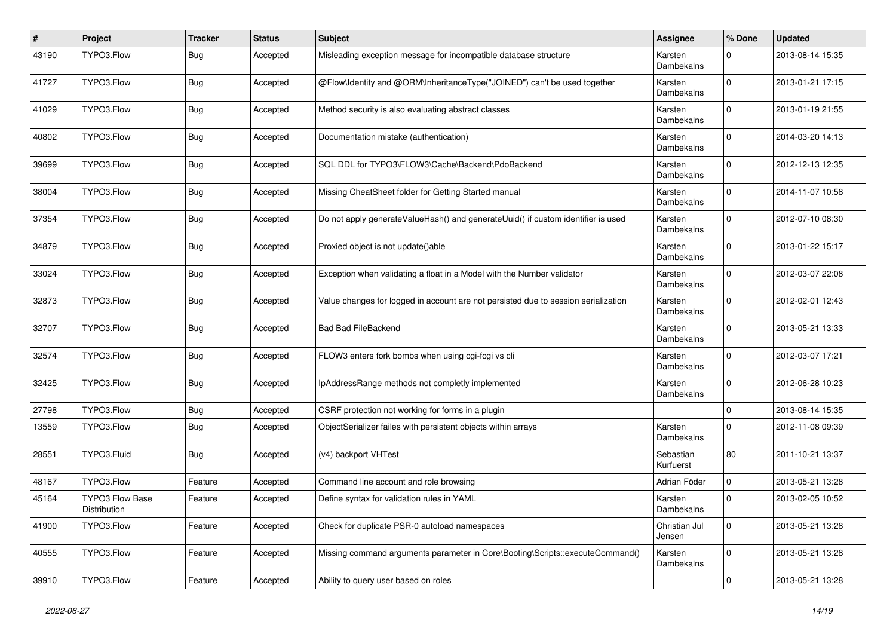| #     | Project                         | <b>Tracker</b> | <b>Status</b> | <b>Subject</b>                                                                     | <b>Assignee</b>              | % Done       | <b>Updated</b>   |
|-------|---------------------------------|----------------|---------------|------------------------------------------------------------------------------------|------------------------------|--------------|------------------|
| 43190 | TYPO3.Flow                      | <b>Bug</b>     | Accepted      | Misleading exception message for incompatible database structure                   | Karsten<br>Dambekalns        | $\Omega$     | 2013-08-14 15:35 |
| 41727 | TYPO3.Flow                      | <b>Bug</b>     | Accepted      | @Flow\Identity and @ORM\InheritanceType("JOINED") can't be used together           | Karsten<br>Dambekalns        | $\Omega$     | 2013-01-21 17:15 |
| 41029 | TYPO3.Flow                      | <b>Bug</b>     | Accepted      | Method security is also evaluating abstract classes                                | Karsten<br>Dambekalns        | $\mathbf 0$  | 2013-01-19 21:55 |
| 40802 | TYPO3.Flow                      | <b>Bug</b>     | Accepted      | Documentation mistake (authentication)                                             | Karsten<br><b>Dambekalns</b> | $\Omega$     | 2014-03-20 14:13 |
| 39699 | TYPO3.Flow                      | <b>Bug</b>     | Accepted      | SQL DDL for TYPO3\FLOW3\Cache\Backend\PdoBackend                                   | Karsten<br>Dambekalns        | $\Omega$     | 2012-12-13 12:35 |
| 38004 | TYPO3.Flow                      | <b>Bug</b>     | Accepted      | Missing CheatSheet folder for Getting Started manual                               | Karsten<br>Dambekalns        | $\Omega$     | 2014-11-07 10:58 |
| 37354 | TYPO3.Flow                      | Bug            | Accepted      | Do not apply generateValueHash() and generateUuid() if custom identifier is used   | Karsten<br>Dambekalns        | $\Omega$     | 2012-07-10 08:30 |
| 34879 | TYPO3.Flow                      | <b>Bug</b>     | Accepted      | Proxied object is not update()able                                                 | Karsten<br>Dambekalns        | $\Omega$     | 2013-01-22 15:17 |
| 33024 | TYPO3.Flow                      | <b>Bug</b>     | Accepted      | Exception when validating a float in a Model with the Number validator             | Karsten<br>Dambekalns        | $\Omega$     | 2012-03-07 22:08 |
| 32873 | TYPO3.Flow                      | <b>Bug</b>     | Accepted      | Value changes for logged in account are not persisted due to session serialization | Karsten<br>Dambekalns        | $\Omega$     | 2012-02-01 12:43 |
| 32707 | TYPO3.Flow                      | <b>Bug</b>     | Accepted      | <b>Bad Bad FileBackend</b>                                                         | Karsten<br>Dambekalns        | $\mathbf 0$  | 2013-05-21 13:33 |
| 32574 | TYPO3.Flow                      | <b>Bug</b>     | Accepted      | FLOW3 enters fork bombs when using cgi-fcgi vs cli                                 | Karsten<br>Dambekalns        | $\Omega$     | 2012-03-07 17:21 |
| 32425 | TYPO3.Flow                      | <b>Bug</b>     | Accepted      | IpAddressRange methods not completly implemented                                   | Karsten<br>Dambekalns        | $\Omega$     | 2012-06-28 10:23 |
| 27798 | TYPO3.Flow                      | <b>Bug</b>     | Accepted      | CSRF protection not working for forms in a plugin                                  |                              | $\mathbf 0$  | 2013-08-14 15:35 |
| 13559 | TYPO3.Flow                      | Bug            | Accepted      | ObjectSerializer failes with persistent objects within arrays                      | Karsten<br>Dambekalns        | $\Omega$     | 2012-11-08 09:39 |
| 28551 | TYPO3.Fluid                     | <b>Bug</b>     | Accepted      | (v4) backport VHTest                                                               | Sebastian<br>Kurfuerst       | 80           | 2011-10-21 13:37 |
| 48167 | TYPO3.Flow                      | Feature        | Accepted      | Command line account and role browsing                                             | Adrian Föder                 | $\mathbf 0$  | 2013-05-21 13:28 |
| 45164 | TYPO3 Flow Base<br>Distribution | Feature        | Accepted      | Define syntax for validation rules in YAML                                         | Karsten<br>Dambekalns        | $\Omega$     | 2013-02-05 10:52 |
| 41900 | TYPO3.Flow                      | Feature        | Accepted      | Check for duplicate PSR-0 autoload namespaces                                      | Christian Jul<br>Jensen      | $\mathbf 0$  | 2013-05-21 13:28 |
| 40555 | TYPO3.Flow                      | Feature        | Accepted      | Missing command arguments parameter in Core\Booting\Scripts::executeCommand()      | Karsten<br>Dambekalns        | $\mathbf{0}$ | 2013-05-21 13:28 |
| 39910 | TYPO3.Flow                      | Feature        | Accepted      | Ability to query user based on roles                                               |                              | $\mathbf 0$  | 2013-05-21 13:28 |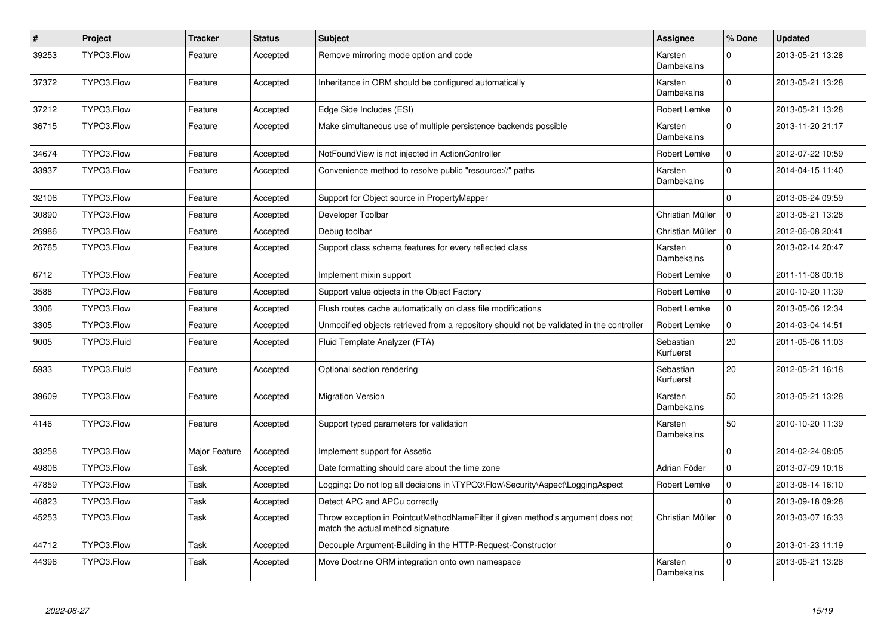| $\#$  | Project     | <b>Tracker</b> | <b>Status</b> | <b>Subject</b>                                                                                                       | Assignee               | % Done       | <b>Updated</b>   |
|-------|-------------|----------------|---------------|----------------------------------------------------------------------------------------------------------------------|------------------------|--------------|------------------|
| 39253 | TYPO3.Flow  | Feature        | Accepted      | Remove mirroring mode option and code                                                                                | Karsten<br>Dambekalns  | $\Omega$     | 2013-05-21 13:28 |
| 37372 | TYPO3.Flow  | Feature        | Accepted      | Inheritance in ORM should be configured automatically                                                                | Karsten<br>Dambekalns  | $\Omega$     | 2013-05-21 13:28 |
| 37212 | TYPO3.Flow  | Feature        | Accepted      | Edge Side Includes (ESI)                                                                                             | Robert Lemke           | $\mathbf 0$  | 2013-05-21 13:28 |
| 36715 | TYPO3.Flow  | Feature        | Accepted      | Make simultaneous use of multiple persistence backends possible                                                      | Karsten<br>Dambekalns  | $\Omega$     | 2013-11-20 21:17 |
| 34674 | TYPO3.Flow  | Feature        | Accepted      | NotFoundView is not injected in ActionController                                                                     | Robert Lemke           | $\mathbf{0}$ | 2012-07-22 10:59 |
| 33937 | TYPO3.Flow  | Feature        | Accepted      | Convenience method to resolve public "resource://" paths                                                             | Karsten<br>Dambekalns  | $\Omega$     | 2014-04-15 11:40 |
| 32106 | TYPO3.Flow  | Feature        | Accepted      | Support for Object source in PropertyMapper                                                                          |                        | $\Omega$     | 2013-06-24 09:59 |
| 30890 | TYPO3.Flow  | Feature        | Accepted      | Developer Toolbar                                                                                                    | Christian Müller       | $\mathbf 0$  | 2013-05-21 13:28 |
| 26986 | TYPO3.Flow  | Feature        | Accepted      | Debug toolbar                                                                                                        | Christian Müller       | l o          | 2012-06-08 20:41 |
| 26765 | TYPO3.Flow  | Feature        | Accepted      | Support class schema features for every reflected class                                                              | Karsten<br>Dambekalns  | $\Omega$     | 2013-02-14 20:47 |
| 6712  | TYPO3.Flow  | Feature        | Accepted      | Implement mixin support                                                                                              | Robert Lemke           | $\mathbf 0$  | 2011-11-08 00:18 |
| 3588  | TYPO3.Flow  | Feature        | Accepted      | Support value objects in the Object Factory                                                                          | Robert Lemke           | $\pmb{0}$    | 2010-10-20 11:39 |
| 3306  | TYPO3.Flow  | Feature        | Accepted      | Flush routes cache automatically on class file modifications                                                         | Robert Lemke           | $\mathbf 0$  | 2013-05-06 12:34 |
| 3305  | TYPO3.Flow  | Feature        | Accepted      | Unmodified objects retrieved from a repository should not be validated in the controller                             | Robert Lemke           | $\mathbf{0}$ | 2014-03-04 14:51 |
| 9005  | TYPO3.Fluid | Feature        | Accepted      | Fluid Template Analyzer (FTA)                                                                                        | Sebastian<br>Kurfuerst | 20           | 2011-05-06 11:03 |
| 5933  | TYPO3.Fluid | Feature        | Accepted      | Optional section rendering                                                                                           | Sebastian<br>Kurfuerst | 20           | 2012-05-21 16:18 |
| 39609 | TYPO3.Flow  | Feature        | Accepted      | <b>Migration Version</b>                                                                                             | Karsten<br>Dambekalns  | 50           | 2013-05-21 13:28 |
| 4146  | TYPO3.Flow  | Feature        | Accepted      | Support typed parameters for validation                                                                              | Karsten<br>Dambekalns  | 50           | 2010-10-20 11:39 |
| 33258 | TYPO3.Flow  | Major Feature  | Accepted      | Implement support for Assetic                                                                                        |                        | $\pmb{0}$    | 2014-02-24 08:05 |
| 49806 | TYPO3.Flow  | Task           | Accepted      | Date formatting should care about the time zone                                                                      | Adrian Föder           | $\mathbf{0}$ | 2013-07-09 10:16 |
| 47859 | TYPO3.Flow  | Task           | Accepted      | Logging: Do not log all decisions in \TYPO3\Flow\Security\Aspect\LoggingAspect                                       | Robert Lemke           | $\pmb{0}$    | 2013-08-14 16:10 |
| 46823 | TYPO3.Flow  | Task           | Accepted      | Detect APC and APCu correctly                                                                                        |                        | $\Omega$     | 2013-09-18 09:28 |
| 45253 | TYPO3.Flow  | Task           | Accepted      | Throw exception in PointcutMethodNameFilter if given method's argument does not<br>match the actual method signature | Christian Müller       | $\mathbf{0}$ | 2013-03-07 16:33 |
| 44712 | TYPO3.Flow  | Task           | Accepted      | Decouple Argument-Building in the HTTP-Request-Constructor                                                           |                        | $\Omega$     | 2013-01-23 11:19 |
| 44396 | TYPO3.Flow  | Task           | Accepted      | Move Doctrine ORM integration onto own namespace                                                                     | Karsten<br>Dambekalns  | $\Omega$     | 2013-05-21 13:28 |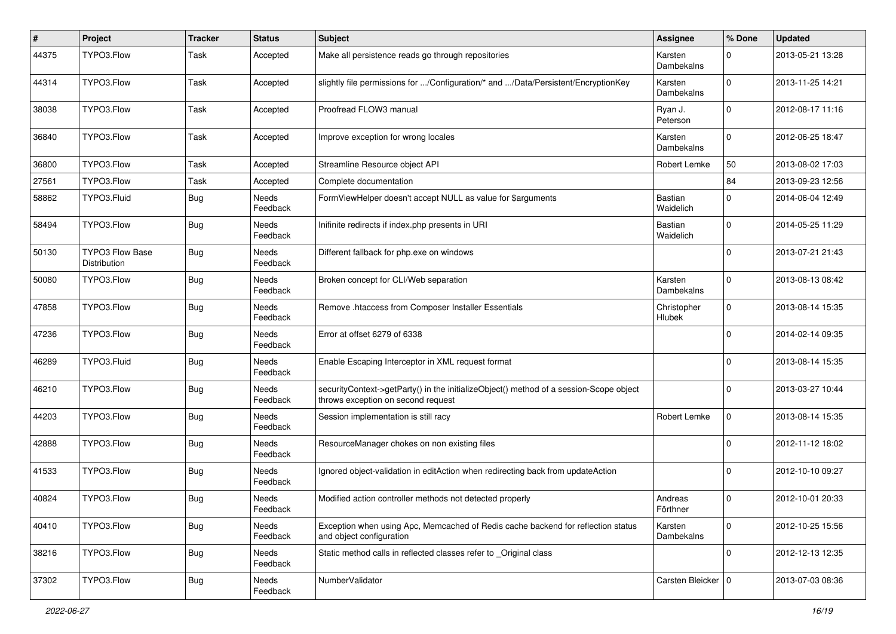| ∦     | Project                         | <b>Tracker</b> | <b>Status</b>            | <b>Subject</b>                                                                                                               | <b>Assignee</b>              | % Done      | <b>Updated</b>   |
|-------|---------------------------------|----------------|--------------------------|------------------------------------------------------------------------------------------------------------------------------|------------------------------|-------------|------------------|
| 44375 | TYPO3.Flow                      | Task           | Accepted                 | Make all persistence reads go through repositories                                                                           | Karsten<br>Dambekalns        | $\Omega$    | 2013-05-21 13:28 |
| 44314 | TYPO3.Flow                      | Task           | Accepted                 | slightly file permissions for /Configuration/* and /Data/Persistent/EncryptionKey                                            | Karsten<br>Dambekalns        | $\Omega$    | 2013-11-25 14:21 |
| 38038 | TYPO3.Flow                      | Task           | Accepted                 | Proofread FLOW3 manual                                                                                                       | Ryan J.<br>Peterson          | $\mathbf 0$ | 2012-08-17 11:16 |
| 36840 | TYPO3.Flow                      | Task           | Accepted                 | Improve exception for wrong locales                                                                                          | Karsten<br>Dambekalns        | $\Omega$    | 2012-06-25 18:47 |
| 36800 | TYPO3.Flow                      | Task           | Accepted                 | Streamline Resource object API                                                                                               | Robert Lemke                 | 50          | 2013-08-02 17:03 |
| 27561 | TYPO3.Flow                      | Task           | Accepted                 | Complete documentation                                                                                                       |                              | 84          | 2013-09-23 12:56 |
| 58862 | TYPO3.Fluid                     | <b>Bug</b>     | Needs<br>Feedback        | FormViewHelper doesn't accept NULL as value for \$arguments                                                                  | Bastian<br>Waidelich         | $\mathbf 0$ | 2014-06-04 12:49 |
| 58494 | TYPO3.Flow                      | <b>Bug</b>     | Needs<br>Feedback        | Inifinite redirects if index.php presents in URI                                                                             | Bastian<br>Waidelich         | $\Omega$    | 2014-05-25 11:29 |
| 50130 | TYPO3 Flow Base<br>Distribution | Bug            | Needs<br>Feedback        | Different fallback for php.exe on windows                                                                                    |                              | $\Omega$    | 2013-07-21 21:43 |
| 50080 | TYPO3.Flow                      | <b>Bug</b>     | Needs<br>Feedback        | Broken concept for CLI/Web separation                                                                                        | Karsten<br>Dambekalns        | $\Omega$    | 2013-08-13 08:42 |
| 47858 | TYPO3.Flow                      | <b>Bug</b>     | Needs<br>Feedback        | Remove .htaccess from Composer Installer Essentials                                                                          | Christopher<br><b>Hlubek</b> | $\mathbf 0$ | 2013-08-14 15:35 |
| 47236 | TYPO3.Flow                      | Bug            | <b>Needs</b><br>Feedback | Error at offset 6279 of 6338                                                                                                 |                              | $\Omega$    | 2014-02-14 09:35 |
| 46289 | TYPO3.Fluid                     | Bug            | Needs<br>Feedback        | Enable Escaping Interceptor in XML request format                                                                            |                              | $\Omega$    | 2013-08-14 15:35 |
| 46210 | TYPO3.Flow                      | Bug            | Needs<br>Feedback        | securityContext->getParty() in the initializeObject() method of a session-Scope object<br>throws exception on second request |                              | $\Omega$    | 2013-03-27 10:44 |
| 44203 | TYPO3.Flow                      | <b>Bug</b>     | Needs<br>Feedback        | Session implementation is still racy                                                                                         | Robert Lemke                 | $\mathbf 0$ | 2013-08-14 15:35 |
| 42888 | TYPO3.Flow                      | Bug            | Needs<br>Feedback        | ResourceManager chokes on non existing files                                                                                 |                              | $\Omega$    | 2012-11-12 18:02 |
| 41533 | TYPO3.Flow                      | <b>Bug</b>     | Needs<br>Feedback        | Ignored object-validation in editAction when redirecting back from updateAction                                              |                              | $\Omega$    | 2012-10-10 09:27 |
| 40824 | TYPO3.Flow                      | Bug            | Needs<br>Feedback        | Modified action controller methods not detected properly                                                                     | Andreas<br>Förthner          | $\mathbf 0$ | 2012-10-01 20:33 |
| 40410 | TYPO3.Flow                      | <b>Bug</b>     | Needs<br>Feedback        | Exception when using Apc, Memcached of Redis cache backend for reflection status<br>and object configuration                 | Karsten<br>Dambekalns        | $\mathbf 0$ | 2012-10-25 15:56 |
| 38216 | TYPO3.Flow                      | <b>Bug</b>     | Needs<br>Feedback        | Static method calls in reflected classes refer to Original class                                                             |                              | $\mathbf 0$ | 2012-12-13 12:35 |
| 37302 | TYPO3.Flow                      | <b>Bug</b>     | Needs<br>Feedback        | NumberValidator                                                                                                              | Carsten Bleicker   0         |             | 2013-07-03 08:36 |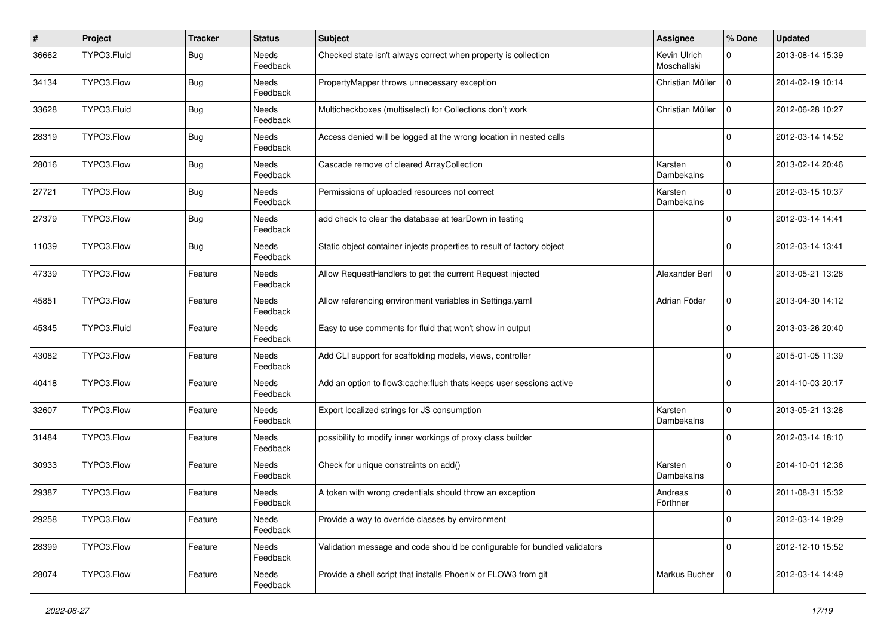| $\vert$ # | Project     | <b>Tracker</b> | <b>Status</b>            | Subject                                                                   | <b>Assignee</b>             | % Done       | <b>Updated</b>   |
|-----------|-------------|----------------|--------------------------|---------------------------------------------------------------------------|-----------------------------|--------------|------------------|
| 36662     | TYPO3.Fluid | <b>Bug</b>     | Needs<br>Feedback        | Checked state isn't always correct when property is collection            | Kevin Ulrich<br>Moschallski | 0            | 2013-08-14 15:39 |
| 34134     | TYPO3.Flow  | <b>Bug</b>     | Needs<br>Feedback        | PropertyMapper throws unnecessary exception                               | Christian Müller            | $\mathbf 0$  | 2014-02-19 10:14 |
| 33628     | TYPO3.Fluid | <b>Bug</b>     | Needs<br>Feedback        | Multicheckboxes (multiselect) for Collections don't work                  | Christian Müller            | $\mathbf 0$  | 2012-06-28 10:27 |
| 28319     | TYPO3.Flow  | <b>Bug</b>     | Needs<br>Feedback        | Access denied will be logged at the wrong location in nested calls        |                             | $\mathbf 0$  | 2012-03-14 14:52 |
| 28016     | TYPO3.Flow  | i Bug          | Needs<br>Feedback        | Cascade remove of cleared ArrayCollection                                 | Karsten<br>Dambekalns       | $\mathbf 0$  | 2013-02-14 20:46 |
| 27721     | TYPO3.Flow  | <b>Bug</b>     | Needs<br>Feedback        | Permissions of uploaded resources not correct                             | Karsten<br>Dambekalns       | $\mathbf 0$  | 2012-03-15 10:37 |
| 27379     | TYPO3.Flow  | <b>Bug</b>     | <b>Needs</b><br>Feedback | add check to clear the database at tearDown in testing                    |                             | $\Omega$     | 2012-03-14 14:41 |
| 11039     | TYPO3.Flow  | Bug            | Needs<br>Feedback        | Static object container injects properties to result of factory object    |                             | $\mathbf 0$  | 2012-03-14 13:41 |
| 47339     | TYPO3.Flow  | Feature        | Needs<br>Feedback        | Allow RequestHandlers to get the current Request injected                 | Alexander Berl              | $\pmb{0}$    | 2013-05-21 13:28 |
| 45851     | TYPO3.Flow  | Feature        | Needs<br>Feedback        | Allow referencing environment variables in Settings.yaml                  | Adrian Föder                | 0            | 2013-04-30 14:12 |
| 45345     | TYPO3.Fluid | Feature        | Needs<br>Feedback        | Easy to use comments for fluid that won't show in output                  |                             | $\mathbf 0$  | 2013-03-26 20:40 |
| 43082     | TYPO3.Flow  | Feature        | Needs<br>Feedback        | Add CLI support for scaffolding models, views, controller                 |                             | $\mathbf 0$  | 2015-01-05 11:39 |
| 40418     | TYPO3.Flow  | Feature        | Needs<br>Feedback        | Add an option to flow3:cache: flush thats keeps user sessions active      |                             | $\mathbf 0$  | 2014-10-03 20:17 |
| 32607     | TYPO3.Flow  | Feature        | <b>Needs</b><br>Feedback | Export localized strings for JS consumption                               | Karsten<br>Dambekalns       | $\mathbf{0}$ | 2013-05-21 13:28 |
| 31484     | TYPO3.Flow  | Feature        | Needs<br>Feedback        | possibility to modify inner workings of proxy class builder               |                             | $\mathbf 0$  | 2012-03-14 18:10 |
| 30933     | TYPO3.Flow  | Feature        | Needs<br>Feedback        | Check for unique constraints on add()                                     | Karsten<br>Dambekalns       | $\mathbf{0}$ | 2014-10-01 12:36 |
| 29387     | TYPO3.Flow  | Feature        | Needs<br>Feedback        | A token with wrong credentials should throw an exception                  | Andreas<br>Förthner         | $\mathbf 0$  | 2011-08-31 15:32 |
| 29258     | TYPO3.Flow  | Feature        | Needs<br>Feedback        | Provide a way to override classes by environment                          |                             | $\mathbf 0$  | 2012-03-14 19:29 |
| 28399     | TYPO3.Flow  | Feature        | Needs<br>Feedback        | Validation message and code should be configurable for bundled validators |                             | 0            | 2012-12-10 15:52 |
| 28074     | TYPO3.Flow  | Feature        | Needs<br>Feedback        | Provide a shell script that installs Phoenix or FLOW3 from git            | Markus Bucher               | $\mathbf 0$  | 2012-03-14 14:49 |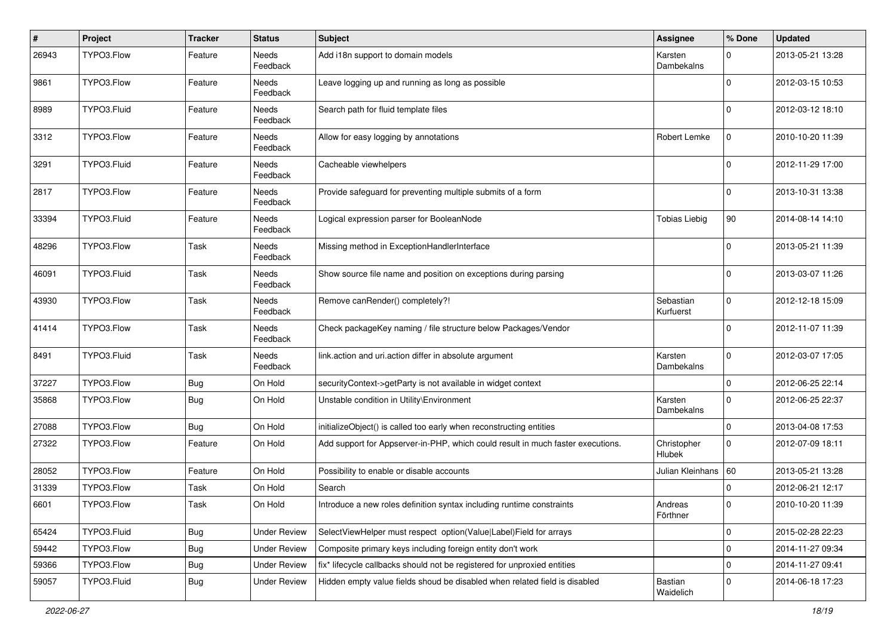| $\pmb{\#}$ | Project     | <b>Tracker</b> | <b>Status</b>       | Subject                                                                         | Assignee                     | % Done      | <b>Updated</b>   |
|------------|-------------|----------------|---------------------|---------------------------------------------------------------------------------|------------------------------|-------------|------------------|
| 26943      | TYPO3.Flow  | Feature        | Needs<br>Feedback   | Add i18n support to domain models                                               | Karsten<br><b>Dambekalns</b> | $\Omega$    | 2013-05-21 13:28 |
| 9861       | TYPO3.Flow  | Feature        | Needs<br>Feedback   | Leave logging up and running as long as possible                                |                              | $\Omega$    | 2012-03-15 10:53 |
| 8989       | TYPO3.Fluid | Feature        | Needs<br>Feedback   | Search path for fluid template files                                            |                              | $\Omega$    | 2012-03-12 18:10 |
| 3312       | TYPO3.Flow  | Feature        | Needs<br>Feedback   | Allow for easy logging by annotations                                           | Robert Lemke                 | $\mathbf 0$ | 2010-10-20 11:39 |
| 3291       | TYPO3.Fluid | Feature        | Needs<br>Feedback   | Cacheable viewhelpers                                                           |                              | $\Omega$    | 2012-11-29 17:00 |
| 2817       | TYPO3.Flow  | Feature        | Needs<br>Feedback   | Provide safeguard for preventing multiple submits of a form                     |                              | $\Omega$    | 2013-10-31 13:38 |
| 33394      | TYPO3.Fluid | Feature        | Needs<br>Feedback   | Logical expression parser for BooleanNode                                       | <b>Tobias Liebig</b>         | 90          | 2014-08-14 14:10 |
| 48296      | TYPO3.Flow  | Task           | Needs<br>Feedback   | Missing method in ExceptionHandlerInterface                                     |                              | $\Omega$    | 2013-05-21 11:39 |
| 46091      | TYPO3.Fluid | Task           | Needs<br>Feedback   | Show source file name and position on exceptions during parsing                 |                              | $\Omega$    | 2013-03-07 11:26 |
| 43930      | TYPO3.Flow  | Task           | Needs<br>Feedback   | Remove canRender() completely?!                                                 | Sebastian<br>Kurfuerst       | $\mathbf 0$ | 2012-12-18 15:09 |
| 41414      | TYPO3.Flow  | Task           | Needs<br>Feedback   | Check packageKey naming / file structure below Packages/Vendor                  |                              | $\Omega$    | 2012-11-07 11:39 |
| 8491       | TYPO3.Fluid | Task           | Needs<br>Feedback   | link.action and uri.action differ in absolute argument                          | Karsten<br>Dambekalns        | $\Omega$    | 2012-03-07 17:05 |
| 37227      | TYPO3.Flow  | Bug            | On Hold             | securityContext->getParty is not available in widget context                    |                              | $\mathbf 0$ | 2012-06-25 22:14 |
| 35868      | TYPO3.Flow  | Bug            | On Hold             | Unstable condition in Utility\Environment                                       | Karsten<br>Dambekalns        | $\Omega$    | 2012-06-25 22:37 |
| 27088      | TYPO3.Flow  | Bug            | On Hold             | initializeObject() is called too early when reconstructing entities             |                              | $\mathbf 0$ | 2013-04-08 17:53 |
| 27322      | TYPO3.Flow  | Feature        | On Hold             | Add support for Appserver-in-PHP, which could result in much faster executions. | Christopher<br>Hlubek        | $\mathbf 0$ | 2012-07-09 18:11 |
| 28052      | TYPO3.Flow  | Feature        | On Hold             | Possibility to enable or disable accounts                                       | Julian Kleinhans             | 60          | 2013-05-21 13:28 |
| 31339      | TYPO3.Flow  | Task           | On Hold             | Search                                                                          |                              | $\Omega$    | 2012-06-21 12:17 |
| 6601       | TYPO3.Flow  | Task           | On Hold             | Introduce a new roles definition syntax including runtime constraints           | Andreas<br>Förthner          | $\mathbf 0$ | 2010-10-20 11:39 |
| 65424      | TYPO3.Fluid | Bug            | <b>Under Review</b> | SelectViewHelper must respect option(Value Label)Field for arrays               |                              | $\mathbf 0$ | 2015-02-28 22:23 |
| 59442      | TYPO3.Flow  | <b>Bug</b>     | <b>Under Review</b> | Composite primary keys including foreign entity don't work                      |                              | $\mathbf 0$ | 2014-11-27 09:34 |
| 59366      | TYPO3.Flow  | <b>Bug</b>     | <b>Under Review</b> | fix* lifecycle callbacks should not be registered for unproxied entities        |                              | $\mathbf 0$ | 2014-11-27 09:41 |
| 59057      | TYPO3.Fluid | <b>Bug</b>     | <b>Under Review</b> | Hidden empty value fields shoud be disabled when related field is disabled      | Bastian<br>Waidelich         | $\mathbf 0$ | 2014-06-18 17:23 |